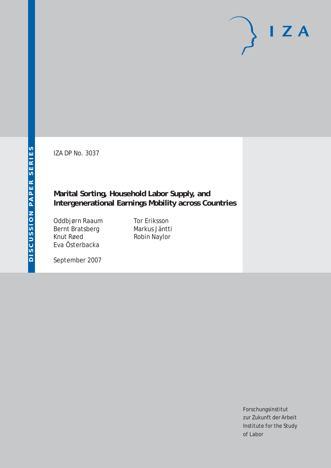IZA DP No. 3037

**Marital Sorting, Household Labor Supply, and Intergenerational Earnings Mobility across Countries**

Oddbjørn Raaum Tor Eriksson Bernt Bratsberg Markus Jäntti<br>Knut Røed Robin Navlor Eva Österbacka

Robin Naylor

September 2007

Forschungsinstitut zur Zukunft der Arbeit Institute for the Study of Labor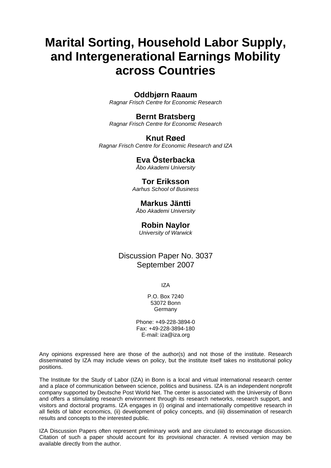# **Marital Sorting, Household Labor Supply, and Intergenerational Earnings Mobility across Countries**

### **Oddbjørn Raaum**

*Ragnar Frisch Centre for Economic Research* 

**Bernt Bratsberg**  *Ragnar Frisch Centre for Economic Research* 

**Knut Røed**  *Ragnar Frisch Centre for Economic Research and IZA*

### **Eva Österbacka**

*Åbo Akademi University* 

### **Tor Eriksson**

*Aarhus School of Business* 

### **Markus Jäntti**

*Åbo Akademi University* 

#### **Robin Naylor**

*University of Warwick* 

### Discussion Paper No. 3037 September 2007

IZA

P.O. Box 7240 53072 Bonn **Germany** 

Phone: +49-228-3894-0 Fax: +49-228-3894-180 E-mail: [iza@iza.org](mailto:iza@iza.org)

Any opinions expressed here are those of the author(s) and not those of the institute. Research disseminated by IZA may include views on policy, but the institute itself takes no institutional policy positions.

The Institute for the Study of Labor (IZA) in Bonn is a local and virtual international research center and a place of communication between science, politics and business. IZA is an independent nonprofit company supported by Deutsche Post World Net. The center is associated with the University of Bonn and offers a stimulating research environment through its research networks, research support, and visitors and doctoral programs. IZA engages in (i) original and internationally competitive research in all fields of labor economics, (ii) development of policy concepts, and (iii) dissemination of research results and concepts to the interested public.

IZA Discussion Papers often represent preliminary work and are circulated to encourage discussion. Citation of such a paper should account for its provisional character. A revised version may be available directly from the author.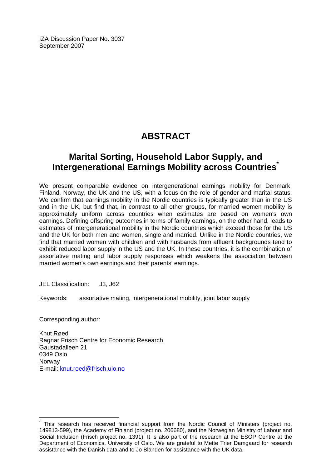IZA Discussion Paper No. 3037 September 2007

# **ABSTRACT**

## **Marital Sorting, Household Labor Supply, and Intergenerational Earnings Mobility across Countries<sup>\*</sup>**

We present comparable evidence on intergenerational earnings mobility for Denmark, Finland, Norway, the UK and the US, with a focus on the role of gender and marital status. We confirm that earnings mobility in the Nordic countries is typically greater than in the US and in the UK, but find that, in contrast to all other groups, for married women mobility is approximately uniform across countries when estimates are based on women's own earnings. Defining offspring outcomes in terms of family earnings, on the other hand, leads to estimates of intergenerational mobility in the Nordic countries which exceed those for the US and the UK for both men and women, single and married. Unlike in the Nordic countries, we find that married women with children and with husbands from affluent backgrounds tend to exhibit reduced labor supply in the US and the UK. In these countries, it is the combination of assortative mating and labor supply responses which weakens the association between married women's own earnings and their parents' earnings.

JEL Classification: J3, J62

Keywords: assortative mating, intergenerational mobility, joint labor supply

Corresponding author:

 $\overline{a}$ 

Knut Røed Ragnar Frisch Centre for Economic Research Gaustadalleen 21 0349 Oslo Norway E-mail: [knut.roed@frisch.uio.no](mailto:knut.roed@frisch.uio.no)

<span id="page-2-0"></span><sup>\*</sup> This research has received financial support from the Nordic Council of Ministers (project no. 149813-599), the Academy of Finland (project no. 206680), and the Norwegian Ministry of Labour and Social Inclusion (Frisch project no. 1391). It is also part of the research at the ESOP Centre at the Department of Economics, University of Oslo. We are grateful to Mette Trier Damgaard for research assistance with the Danish data and to Jo Blanden for assistance with the UK data.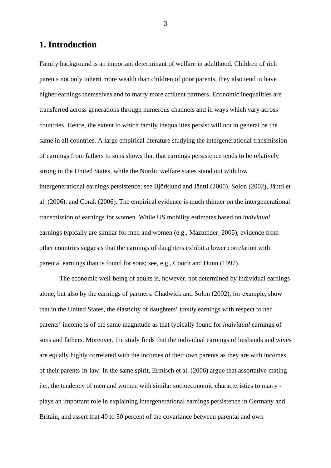### **1. Introduction**

Family background is an important determinant of welfare in adulthood. Children of rich parents not only inherit more wealth than children of poor parents, they also tend to have higher earnings themselves and to marry more affluent partners. Economic inequalities are transferred across generations through numerous channels and in ways which vary across countries. Hence, the extent to which family inequalities persist will not in general be the same in all countries. A large empirical literature studying the intergenerational transmission of earnings from fathers to sons shows that that earnings persistence tends to be relatively strong in the United States, while the Nordic welfare states stand out with low intergenerational earnings persistence; see Björklund and Jäntti (2000), Solon (2002), Jäntti et al. (2006), and Corak (2006). The empirical evidence is much thinner on the intergenerational transmission of earnings for women. While US mobility estimates based on *individual* earnings typically are similar for men and women (e.g., Mazumder, 2005), evidence from other countries suggests that the earnings of daughters exhibit a lower correlation with parental earnings than is found for sons; see, e.g., Couch and Dunn (1997).

The economic well-being of adults is, however, not determined by individual earnings alone, but also by the earnings of partners. Chadwick and Solon (2002), for example, show that in the United States, the elasticity of daughters' *family* earnings with respect to her parents' income is of the same magnitude as that typically found for *individual* earnings of sons and fathers. Moreover, the study finds that the individual earnings of husbands and wives are equally highly correlated with the incomes of their own parents as they are with incomes of their parents-in-law. In the same spirit, Ermisch et al. (2006) argue that assortative mating i.e., the tendency of men and women with similar socioeconomic characteristics to marry plays an important role in explaining intergenerational earnings persistence in Germany and Britain, and assert that 40 to 50 percent of the covariance between parental and own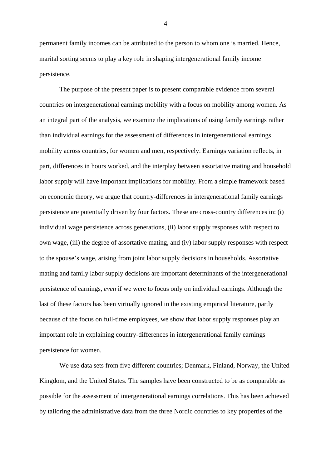permanent family incomes can be attributed to the person to whom one is married. Hence, marital sorting seems to play a key role in shaping intergenerational family income persistence.

 The purpose of the present paper is to present comparable evidence from several countries on intergenerational earnings mobility with a focus on mobility among women. As an integral part of the analysis, we examine the implications of using family earnings rather than individual earnings for the assessment of differences in intergenerational earnings mobility across countries, for women and men, respectively. Earnings variation reflects, in part, differences in hours worked, and the interplay between assortative mating and household labor supply will have important implications for mobility. From a simple framework based on economic theory, we argue that country-differences in intergenerational family earnings persistence are potentially driven by four factors. These are cross-country differences in: (i) individual wage persistence across generations, (ii) labor supply responses with respect to own wage, (iii) the degree of assortative mating, and (iv) labor supply responses with respect to the spouse's wage, arising from joint labor supply decisions in households. Assortative mating and family labor supply decisions are important determinants of the intergenerational persistence of earnings, *even* if we were to focus only on individual earnings. Although the last of these factors has been virtually ignored in the existing empirical literature, partly because of the focus on full-time employees, we show that labor supply responses play an important role in explaining country-differences in intergenerational family earnings persistence for women.

We use data sets from five different countries; Denmark, Finland, Norway, the United Kingdom, and the United States. The samples have been constructed to be as comparable as possible for the assessment of intergenerational earnings correlations. This has been achieved by tailoring the administrative data from the three Nordic countries to key properties of the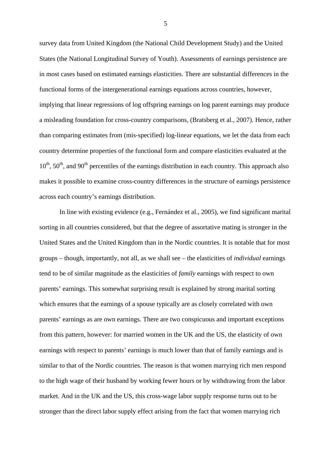survey data from United Kingdom (the National Child Development Study) and the United States (the National Longitudinal Survey of Youth). Assessments of earnings persistence are in most cases based on estimated earnings elasticities. There are substantial differences in the functional forms of the intergenerational earnings equations across countries, however, implying that linear regressions of log offspring earnings on log parent earnings may produce a misleading foundation for cross-country comparisons, (Bratsberg et al., 2007). Hence, rather than comparing estimates from (mis-specified) log-linear equations, we let the data from each country determine properties of the functional form and compare elasticities evaluated at the  $10^{th}$ ,  $50^{th}$ , and  $90^{th}$  percentiles of the earnings distribution in each country. This approach also makes it possible to examine cross-country differences in the structure of earnings persistence across each country's earnings distribution.

 In line with existing evidence (e.g., Fernández et al., 2005), we find significant marital sorting in all countries considered, but that the degree of assortative mating is stronger in the United States and the United Kingdom than in the Nordic countries. It is notable that for most groups – though, importantly, not all, as we shall see – the elasticities of *individual* earnings tend to be of similar magnitude as the elasticities of *family* earnings with respect to own parents' earnings. This somewhat surprising result is explained by strong marital sorting which ensures that the earnings of a spouse typically are as closely correlated with own parents' earnings as are own earnings. There are two conspicuous and important exceptions from this pattern, however: for married women in the UK and the US, the elasticity of own earnings with respect to parents' earnings is much lower than that of family earnings and is similar to that of the Nordic countries. The reason is that women marrying rich men respond to the high wage of their husband by working fewer hours or by withdrawing from the labor market. And in the UK and the US, this cross-wage labor supply response turns out to be stronger than the direct labor supply effect arising from the fact that women marrying rich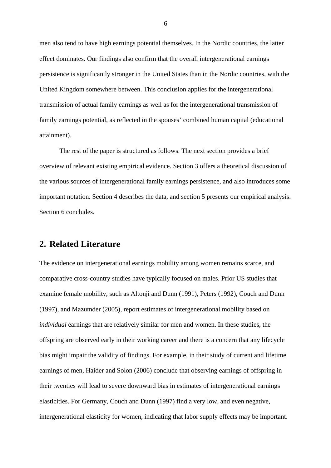men also tend to have high earnings potential themselves. In the Nordic countries, the latter effect dominates. Our findings also confirm that the overall intergenerational earnings persistence is significantly stronger in the United States than in the Nordic countries, with the United Kingdom somewhere between. This conclusion applies for the intergenerational transmission of actual family earnings as well as for the intergenerational transmission of family earnings potential, as reflected in the spouses' combined human capital (educational attainment).

 The rest of the paper is structured as follows. The next section provides a brief overview of relevant existing empirical evidence. Section 3 offers a theoretical discussion of the various sources of intergenerational family earnings persistence, and also introduces some important notation. Section 4 describes the data, and section 5 presents our empirical analysis. Section 6 concludes.

### **2. Related Literature**

The evidence on intergenerational earnings mobility among women remains scarce, and comparative cross-country studies have typically focused on males. Prior US studies that examine female mobility, such as Altonji and Dunn (1991), Peters (1992), Couch and Dunn (1997), and Mazumder (2005), report estimates of intergenerational mobility based on *individual* earnings that are relatively similar for men and women. In these studies, the offspring are observed early in their working career and there is a concern that any lifecycle bias might impair the validity of findings. For example, in their study of current and lifetime earnings of men, Haider and Solon (2006) conclude that observing earnings of offspring in their twenties will lead to severe downward bias in estimates of intergenerational earnings elasticities. For Germany, Couch and Dunn (1997) find a very low, and even negative, intergenerational elasticity for women, indicating that labor supply effects may be important.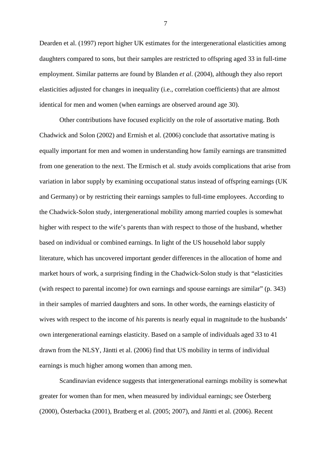Dearden et al. (1997) report higher UK estimates for the intergenerational elasticities among daughters compared to sons, but their samples are restricted to offspring aged 33 in full-time employment. Similar patterns are found by Blanden *et al*. (2004), although they also report elasticities adjusted for changes in inequality (i.e., correlation coefficients) that are almost identical for men and women (when earnings are observed around age 30).

Other contributions have focused explicitly on the role of assortative mating. Both Chadwick and Solon (2002) and Ermish et al. (2006) conclude that assortative mating is equally important for men and women in understanding how family earnings are transmitted from one generation to the next. The Ermisch et al. study avoids complications that arise from variation in labor supply by examining occupational status instead of offspring earnings (UK and Germany) or by restricting their earnings samples to full-time employees. According to the Chadwick-Solon study, intergenerational mobility among married couples is somewhat higher with respect to the wife's parents than with respect to those of the husband, whether based on individual or combined earnings. In light of the US household labor supply literature, which has uncovered important gender differences in the allocation of home and market hours of work, a surprising finding in the Chadwick-Solon study is that "elasticities (with respect to parental income) for own earnings and spouse earnings are similar" (p. 343) in their samples of married daughters and sons. In other words, the earnings elasticity of wives with respect to the income of *his* parents is nearly equal in magnitude to the husbands' own intergenerational earnings elasticity. Based on a sample of individuals aged 33 to 41 drawn from the NLSY, Jäntti et al. (2006) find that US mobility in terms of individual earnings is much higher among women than among men.

Scandinavian evidence suggests that intergenerational earnings mobility is somewhat greater for women than for men, when measured by individual earnings; see Österberg (2000), Österbacka (2001), Bratberg et al. (2005; 2007), and Jäntti et al. (2006). Recent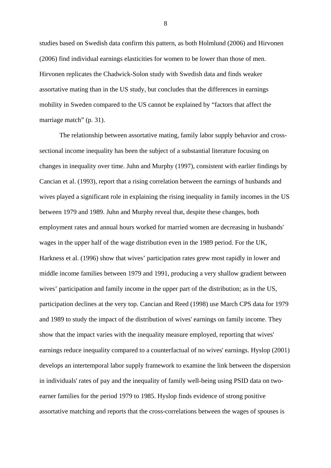studies based on Swedish data confirm this pattern, as both Holmlund (2006) and Hirvonen (2006) find individual earnings elasticities for women to be lower than those of men. Hirvonen replicates the Chadwick-Solon study with Swedish data and finds weaker assortative mating than in the US study, but concludes that the differences in earnings mobility in Sweden compared to the US cannot be explained by "factors that affect the marriage match" (p. 31).

The relationship between assortative mating, family labor supply behavior and crosssectional income inequality has been the subject of a substantial literature focusing on changes in inequality over time. Juhn and Murphy (1997), consistent with earlier findings by Cancian et al. (1993), report that a rising correlation between the earnings of husbands and wives played a significant role in explaining the rising inequality in family incomes in the US between 1979 and 1989. Juhn and Murphy reveal that, despite these changes, both employment rates and annual hours worked for married women are decreasing in husbands' wages in the upper half of the wage distribution even in the 1989 period. For the UK, Harkness et al. (1996) show that wives' participation rates grew most rapidly in lower and middle income families between 1979 and 1991, producing a very shallow gradient between wives' participation and family income in the upper part of the distribution; as in the US, participation declines at the very top. Cancian and Reed (1998) use March CPS data for 1979 and 1989 to study the impact of the distribution of wives' earnings on family income. They show that the impact varies with the inequality measure employed, reporting that wives' earnings reduce inequality compared to a counterfactual of no wives' earnings. Hyslop (2001) develops an intertemporal labor supply framework to examine the link between the dispersion in individuals' rates of pay and the inequality of family well-being using PSID data on twoearner families for the period 1979 to 1985. Hyslop finds evidence of strong positive assortative matching and reports that the cross-correlations between the wages of spouses is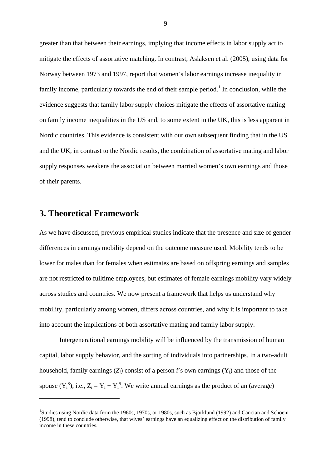greater than that between their earnings, implying that income effects in labor supply act to mitigate the effects of assortative matching. In contrast, Aslaksen et al. (2005), using data for Norway between 1973 and 1997, report that women's labor earnings increase inequality in family income, particularly towards the end of their sample period.<sup>[1](#page-9-0)</sup> In conclusion, while the evidence suggests that family labor supply choices mitigate the effects of assortative mating on family income inequalities in the US and, to some extent in the UK, this is less apparent in Nordic countries. This evidence is consistent with our own subsequent finding that in the US and the UK, in contrast to the Nordic results, the combination of assortative mating and labor supply responses weakens the association between married women's own earnings and those of their parents.

### **3. Theoretical Framework**

1

As we have discussed, previous empirical studies indicate that the presence and size of gender differences in earnings mobility depend on the outcome measure used. Mobility tends to be lower for males than for females when estimates are based on offspring earnings and samples are not restricted to fulltime employees, but estimates of female earnings mobility vary widely across studies and countries. We now present a framework that helps us understand why mobility, particularly among women, differs across countries, and why it is important to take into account the implications of both assortative mating and family labor supply.

Intergenerational earnings mobility will be influenced by the transmission of human capital, labor supply behavior, and the sorting of individuals into partnerships. In a two-adult household, family earnings (*Zi*) consist of a person *i*'s own earnings (Yi) and those of the spouse  $(Y_i^S)$ , i.e.,  $Z_i = Y_i + Y_i^S$ . We write annual earnings as the product of an (average)

<span id="page-9-0"></span><sup>&</sup>lt;sup>1</sup>Studies using Nordic data from the 1960s, 1970s, or 1980s, such as Björklund (1992) and Cancian and Schoeni (1998), tend to conclude otherwise, that wives' earnings have an equalizing effect on the distribution of family income in these countries.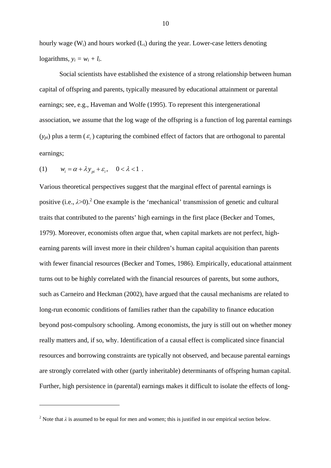hourly wage  $(W_i)$  and hours worked  $(L_i)$  during the year. Lower-case letters denoting logarithms,  $v_i = w_i + l_i$ .

Social scientists have established the existence of a strong relationship between human capital of offspring and parents, typically measured by educational attainment or parental earnings; see, e.g., Haveman and Wolfe (1995). To represent this intergenerational association, we assume that the log wage of the offspring is a function of log parental earnings  $(y_{pi})$  plus a term  $(\varepsilon)$  capturing the combined effect of factors that are orthogonal to parental earnings;

(1) 
$$
w_i = \alpha + \lambda y_{pi} + \varepsilon_i, \quad 0 < \lambda < 1.
$$

 $\overline{a}$ 

Various theoretical perspectives suggest that the marginal effect of parental earnings is positive (i.e.,  $\lambda > 0$ ).<sup>2</sup> One example is the 'mechanical' transmission of genetic and cultural traits that contributed to the parents' high earnings in the first place (Becker and Tomes, 1979). Moreover, economists often argue that, when capital markets are not perfect, highearning parents will invest more in their children's human capital acquisition than parents with fewer financial resources (Becker and Tomes, 1986). Empirically, educational attainment turns out to be highly correlated with the financial resources of parents, but some authors, such as Carneiro and Heckman (2002), have argued that the causal mechanisms are related to long-run economic conditions of families rather than the capability to finance education beyond post-compulsory schooling. Among economists, the jury is still out on whether money really matters and, if so, why. Identification of a causal effect is complicated since financial resources and borrowing constraints are typically not observed, and because parental earnings are strongly correlated with other (partly inheritable) determinants of offspring human capital. Further, high persistence in (parental) earnings makes it difficult to isolate the effects of long-

<span id="page-10-0"></span><sup>&</sup>lt;sup>2</sup> Note that  $\lambda$  is assumed to be equal for men and women; this is justified in our empirical section below.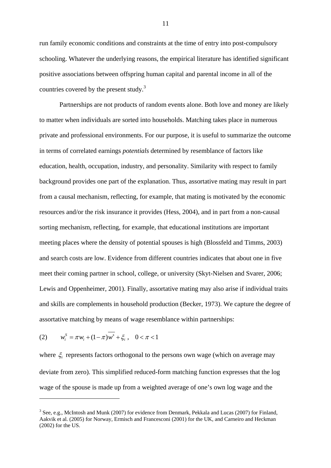run family economic conditions and constraints at the time of entry into post-compulsory schooling. Whatever the underlying reasons, the empirical literature has identified significant positive associations between offspring human capital and parental income in all of the countries covered by the present study.[3](#page-11-0)

Partnerships are not products of random events alone. Both love and money are likely to matter when individuals are sorted into households. Matching takes place in numerous private and professional environments. For our purpose, it is useful to summarize the outcome in terms of correlated earnings *potentials* determined by resemblance of factors like education, health, occupation, industry, and personality. Similarity with respect to family background provides one part of the explanation. Thus, assortative mating may result in part from a causal mechanism, reflecting, for example, that mating is motivated by the economic resources and/or the risk insurance it provides (Hess, 2004), and in part from a non-causal sorting mechanism, reflecting, for example, that educational institutions are important meeting places where the density of potential spouses is high (Blossfeld and Timms, 2003) and search costs are low. Evidence from different countries indicates that about one in five meet their coming partner in school, college, or university (Skyt-Nielsen and Svarer, 2006; Lewis and Oppenheimer, 2001). Finally, assortative mating may also arise if individual traits and skills are complements in household production (Becker, 1973). We capture the degree of assortative matching by means of wage resemblance within partnerships:

(2) 
$$
w_i^S = \pi w_i + (1 - \pi) w^s + \xi_i, \quad 0 < \pi < 1
$$

1

where  $\xi$  represents factors orthogonal to the persons own wage (which on average may deviate from zero). This simplified reduced-form matching function expresses that the log wage of the spouse is made up from a weighted average of one's own log wage and the

<span id="page-11-0"></span> $3$  See, e.g., McIntosh and Munk (2007) for evidence from Denmark, Pekkala and Lucas (2007) for Finland, Aakvik et al. (2005) for Norway, Ermisch and Francesconi (2001) for the UK, and Carneiro and Heckman (2002) for the US.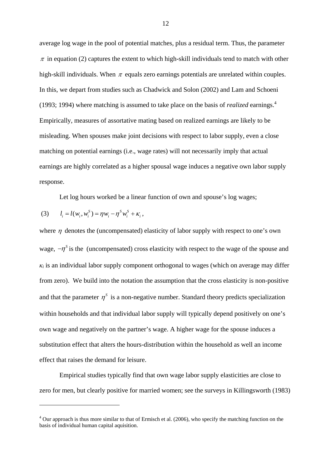average log wage in the pool of potential matches, plus a residual term. Thus, the parameter  $\pi$  in equation (2) captures the extent to which high-skill individuals tend to match with other high-skill individuals. When  $\pi$  equals zero earnings potentials are unrelated within couples. In this, we depart from studies such as Chadwick and Solon (2002) and Lam and Schoeni (1993; 1994) where matching is assumed to take place on the basis of *realized* earnings. [4](#page-12-0) Empirically, measures of assortative mating based on realized earnings are likely to be misleading. When spouses make joint decisions with respect to labor supply, even a close matching on potential earnings (i.e., wage rates) will not necessarily imply that actual earnings are highly correlated as a higher spousal wage induces a negative own labor supply response.

Let log hours worked be a linear function of own and spouse's log wages;

(3) 
$$
l_i = l(w_i, w_i^S) = \eta w_i - \eta^S w_i^S + \kappa_i
$$
,

1

where  $\eta$  denotes the (uncompensated) elasticity of labor supply with respect to one's own wage,  $-\eta^s$  is the (uncompensated) cross elasticity with respect to the wage of the spouse and  $k_i$  is an individual labor supply component orthogonal to wages (which on average may differ from zero). We build into the notation the assumption that the cross elasticity is non-positive and that the parameter  $\eta^s$  is a non-negative number. Standard theory predicts specialization within households and that individual labor supply will typically depend positively on one's own wage and negatively on the partner's wage. A higher wage for the spouse induces a substitution effect that alters the hours-distribution within the household as well an income effect that raises the demand for leisure.

Empirical studies typically find that own wage labor supply elasticities are close to zero for men, but clearly positive for married women; see the surveys in Killingsworth (1983)

<span id="page-12-0"></span><sup>&</sup>lt;sup>4</sup> Our approach is thus more similar to that of Ermisch et al. (2006), who specify the matching function on the basis of individual human capital aquisition.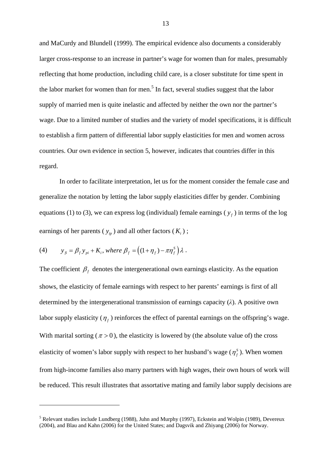and MaCurdy and Blundell (1999). The empirical evidence also documents a considerably larger cross-response to an increase in partner's wage for women than for males, presumably reflecting that home production, including child care, is a closer substitute for time spent in the labor market for women than for men.<sup>5</sup> In fact, several studies suggest that the labor supply of married men is quite inelastic and affected by neither the own nor the partner's wage. Due to a limited number of studies and the variety of model specifications, it is difficult to establish a firm pattern of differential labor supply elasticities for men and women across countries. Our own evidence in section 5, however, indicates that countries differ in this regard.

In order to facilitate interpretation, let us for the moment consider the female case and generalize the notation by letting the labor supply elasticities differ by gender. Combining equations (1) to (3), we can express log (individual) female earnings ( $y_f$ ) in terms of the log earnings of her parents ( $y_{ip}$ ) and all other factors ( $K_i$ );

<span id="page-13-1"></span>(4) 
$$
y_{fi} = \beta_f y_{pi} + K_i, \text{ where } \beta_f = \left( (1 + \eta_f) - \pi \eta_f^s \right) \lambda.
$$

1

The coefficient  $\beta_f$  denotes the intergenerational own earnings elasticity. As the equation shows, the elasticity of female earnings with respect to her parents' earnings is first of all determined by the intergenerational transmission of earnings capacity (*λ*). A positive own labor supply elasticity  $(\eta_f)$  reinforces the effect of parental earnings on the offspring's wage. With marital sorting ( $\pi$  > 0), the elasticity is lowered by (the absolute value of) the cross elasticity of women's labor supply with respect to her husband's wage ( $\eta_f^s$ ). When women from high-income families also marry partners with high wages, their own hours of work will be reduced. This result illustrates that assortative mating and family labor supply decisions are

<span id="page-13-0"></span><sup>&</sup>lt;sup>5</sup> Relevant studies include Lundberg (1988), Juhn and Murphy (1997), Eckstein and Wolpin (1989), Devereux (2004), and Blau and Kahn (2006) for the United States; and Dagsvik and Zhiyang (2006) for Norway.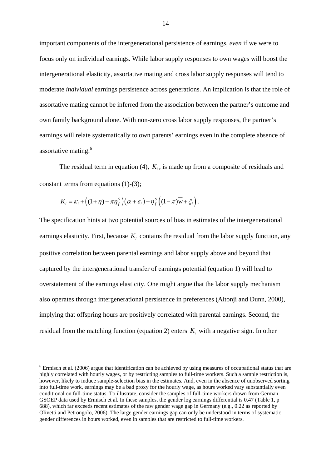important components of the intergenerational persistence of earnings, *even* if we were to focus only on individual earnings. While labor supply responses to own wages will boost the intergenerational elasticity, assortative mating and cross labor supply responses will tend to moderate *individual* earnings persistence across generations. An implication is that the role of assortative mating cannot be inferred from the association between the partner's outcome and own family background alone. With non-zero cross labor supply responses, the partner's earnings will relate systematically to own parents' earnings even in the complete absence of assortative mating.<sup>6</sup>

The residual term in equation  $(4)$ ,  $K_i$ , is made up from a composite of residuals and constant terms from equations (1)-(3);

$$
K_i = \kappa_i + \left( (1+\eta) - \pi \eta_f^s \right) \left( \alpha + \varepsilon_i \right) - \eta_f^s \left( (1-\pi) \overline{w} + \xi_i \right).
$$

The specification hints at two potential sources of bias in estimates of the intergenerational earnings elasticity. First, because  $K<sub>i</sub>$  contains the residual from the labor supply function, any positive correlation between parental earnings and labor supply above and beyond that captured by the intergenerational transfer of earnings potential (equation 1) will lead to overstatement of the earnings elasticity. One might argue that the labor supply mechanism also operates through intergenerational persistence in preferences (Altonji and Dunn, 2000), implying that offspring hours are positively correlated with parental earnings. Second, the residual from the matching function (equation 2) enters  $K<sub>i</sub>$  with a negative sign. In other

<span id="page-14-0"></span> $6$  Ermisch et al. (2006) argue that identification can be achieved by using measures of occupational status that are highly correlated with hourly wages, or by restricting samples to full-time workers. Such a sample restriction is, however, likely to induce sample-selection bias in the estimates. And, even in the absence of unobserved sorting into full-time work, earnings may be a bad proxy for the hourly wage, as hours worked vary substantially even conditional on full-time status. To illustrate, consider the samples of full-time workers drawn from German GSOEP data used by Ermisch et al. In these samples, the gender log earnings differential is 0.47 (Table 1, p 688), which far exceeds recent estimates of the raw gender wage gap in Germany (e.g., 0.22 as reported by Olivetti and Petrongolo, 2006). The large gender earnings gap can only be understood in terms of systematic gender differences in hours worked, even in samples that are restricted to full-time workers.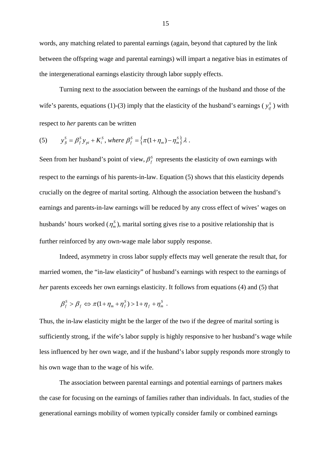words, any matching related to parental earnings (again, beyond that captured by the link between the offspring wage and parental earnings) will impart a negative bias in estimates of the intergenerational earnings elasticity through labor supply effects.

Turning next to the association between the earnings of the husband and those of the wife's parents, equations (1)-(3) imply that the elasticity of the husband's earnings ( $y_{if}^s$ ) with respect to *her* parents can be written

(5) 
$$
y_{fi}^S = \beta_f^S y_{pi} + K_i^S, where \beta_f^S = \left\{ \pi (1 + \eta_m) - \eta_m^S \right\} \lambda.
$$

Seen from her husband's point of view,  $\beta_f^s$  represents the elasticity of own earnings with respect to the earnings of his parents-in-law. Equation (5) shows that this elasticity depends crucially on the degree of marital sorting. Although the association between the husband's earnings and parents-in-law earnings will be reduced by any cross effect of wives' wages on husbands' hours worked  $(\eta_m^s)$ , marital sorting gives rise to a positive relationship that is further reinforced by any own-wage male labor supply response.

Indeed, asymmetry in cross labor supply effects may well generate the result that, for married women, the "in-law elasticity" of husband's earnings with respect to the earnings of *her* parents exceeds her own earnings elasticity. It follows from equations (4) and (5) [t](#page-13-1)hat

$$
\beta_f^s > \beta_f \Leftrightarrow \pi (1 + \eta_m + \eta_f^s) > 1 + \eta_f + \eta_m^s.
$$

Thus, the in-law elasticity might be the larger of the two if the degree of marital sorting is sufficiently strong, if the wife's labor supply is highly responsive to her husband's wage while less influenced by her own wage, and if the husband's labor supply responds more strongly to his own wage than to the wage of his wife.

The association between parental earnings and potential earnings of partners makes the case for focusing on the earnings of families rather than individuals. In fact, studies of the generational earnings mobility of women typically consider family or combined earnings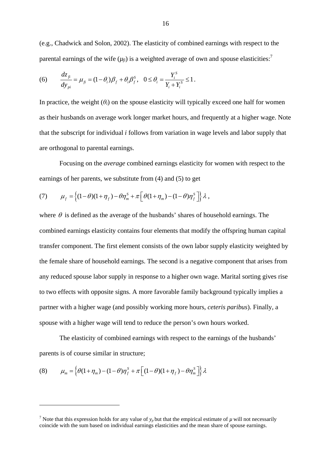(e.g., Chadwick and Solon, 2002). The elasticity of combined earnings with respect to the parental earnings of the wife  $(\mu_{fi})$  is a weighted average of own and spouse elasticities:<sup>[7](#page-16-0)</sup>

(6) 
$$
\frac{dz_{fi}}{dy_{pi}} = \mu_{fi} = (1 - \theta_i) \beta_f + \theta_i \beta_f^s, \quad 0 \le \theta_i = \frac{Y_i^s}{Y_i + Y_i^s} \le 1.
$$

In practice, the weight  $(\theta_i)$  on the spouse elasticity will typically exceed one half for women as their husbands on average work longer market hours, and frequently at a higher wage. Note that the subscript for individual *i* follows from variation in wage levels and labor supply that are orthogonal to parental earnings.

Focusing on the *average* combined earnings elasticity for women with respect to the earnings of her parents, we substitute from (4) and (5) to get

(7) 
$$
\mu_f = \left\{ (1-\theta)(1+\eta_f) - \theta \eta_m^S + \pi \left[ \theta (1+\eta_m) - (1-\theta) \eta_f^S \right] \right\} \lambda,
$$

where  $\theta$  is defined as the average of the husbands' shares of household earnings. The combined earnings elasticity contains four elements that modify the offspring human capital transfer component. The first element consists of the own labor supply elasticity weighted by the female share of household earnings. The second is a negative component that arises from any reduced spouse labor supply in response to a higher own wage. Marital sorting gives rise to two effects with opposite signs. A more favorable family background typically implies a partner with a higher wage (and possibly working more hours, *ceteris paribus*). Finally, a spouse with a higher wage will tend to reduce the person's own hours worked.

The elasticity of combined earnings with respect to the earnings of the husbands' parents is of course similar in structure;

(8) 
$$
\mu_m = \left\{ \theta(1+\eta_m) - (1-\theta)\eta_f^s + \pi \left[ (1-\theta)(1+\eta_f) - \theta\eta_m^s \right] \right\} \lambda
$$

 $\overline{a}$ 

<span id="page-16-0"></span><sup>&</sup>lt;sup>7</sup> Note that this expression holds for any value of  $y_p$  but that the empirical estimate of  $\mu$  will not necessarily coincide with the sum based on individual earnings elasticities and the mean share of spouse earnings.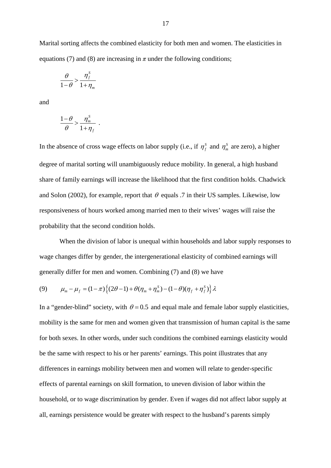Marital sorting affects the combined elasticity for both men and women. The elasticities in equations (7) and (8) are increasing in  $\pi$  under the following conditions;

$$
\frac{\theta}{1-\theta} > \frac{\eta_f^s}{1+\eta_m}
$$

and

$$
\frac{1-\theta}{\theta} > \frac{\eta_m^S}{1+\eta_f} \ .
$$

In the absence of cross wage effects on labor supply (i.e., if  $\eta_f^s$  and  $\eta_m^s$  are zero), a higher degree of marital sorting will unambiguously reduce mobility. In general, a high husband share of family earnings will increase the likelihood that the first condition holds. Chadwick and Solon (2002), for example, report that  $\theta$  equals .7 in their US samples. Likewise, low responsiveness of hours worked among married men to their wives' wages will raise the probability that the second condition holds.

When the division of labor is unequal within households and labor supply responses to wage changes differ by gender, the intergenerational elasticity of combined earnings will generally differ for men and women. Combining (7) and (8) we have

$$
(9) \qquad \mu_m - \mu_f = (1 - \pi) \left\{ (2\theta - 1) + \theta (\eta_m + \eta_m^S) - (1 - \theta)(\eta_f + \eta_f^S) \right\} \lambda
$$

In a "gender-blind" society, with  $\theta = 0.5$  and equal male and female labor supply elasticities, mobility is the same for men and women given that transmission of human capital is the same for both sexes. In other words, under such conditions the combined earnings elasticity would be the same with respect to his or her parents' earnings. This point illustrates that any differences in earnings mobility between men and women will relate to gender-specific effects of parental earnings on skill formation, to uneven division of labor within the household, or to wage discrimination by gender. Even if wages did not affect labor supply at all, earnings persistence would be greater with respect to the husband's parents simply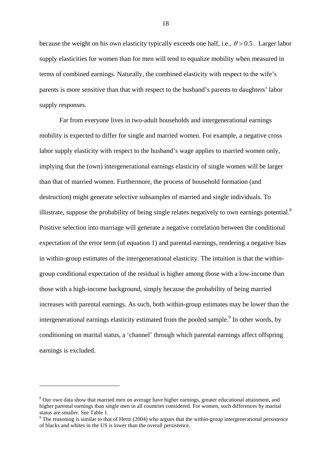because the weight on his own elasticity typically exceeds one half, i.e.,  $\theta > 0.5$ . Larger labor supply elasticities for women than for men will tend to equalize mobility when measured in terms of combined earnings. Naturally, the combined elasticity with respect to the wife's parents is more sensitive than that with respect to the husband's parents to daughters' labor supply responses.

Far from everyone lives in two-adult households and intergenerational earnings mobility is expected to differ for single and married women. For example, a negative cross labor supply elasticity with respect to the husband's wage applies to married women only, implying that the (own) intergenerational earnings elasticity of single women will be larger than that of married women. Furthermore, the process of household formation (and destruction) might generate selective subsamples of married and single individuals. To illustrate, suppose the probability of being single relates negatively to own earnings potential. $8$ Positive selection into marriage will generate a negative correlation between the conditional expectation of the error term (of equation 1) and parental earnings, rendering a negative bias in within-group estimates of the intergenerational elasticity. The intuition is that the withingroup conditional expectation of the residual is higher among those with a low-income than those with a high-income background, simply because the probability of being married increases with parental earnings. As such, both within-group estimates may be lower than the intergenerational earnings elasticity estimated from the pooled sample. In other words, by conditioning on marital status, a 'channel' through which parental earnings affect offspring earnings is excluded.

<span id="page-18-0"></span><sup>&</sup>lt;sup>8</sup> Our own data show that married men on average have higher earnings, greater educational attainment, and higher parental earnings than single men in all countries considered. For women, such differences by marital status are smaller. See Table 1.

<span id="page-18-1"></span><sup>&</sup>lt;sup>9</sup> The reasoning is similar to that of Hertz (2004) who argues that the within-group intergenerational persistence of blacks and whites in the US is lower than the overall persistence.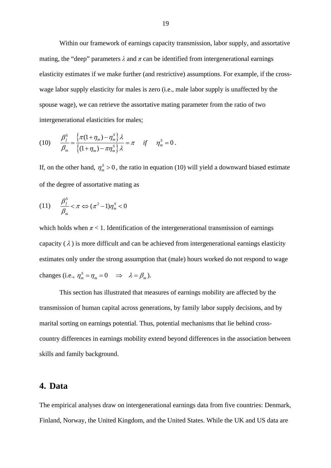Within our framework of earnings capacity transmission, labor supply, and assortative mating, the "deep" parameters  $\lambda$  and  $\pi$  can be identified from intergenerational earnings elasticity estimates if we make further (and restrictive) assumptions. For example, if the crosswage labor supply elasticity for males is zero (i.e., male labor supply is unaffected by the spouse wage), we can retrieve the assortative mating parameter from the ratio of two intergenerational elasticities for males;

(10) 
$$
\frac{\beta_f^s}{\beta_m} = \frac{\left\{\pi(1+\eta_m) - \eta_m^s\right\}\lambda}{\left\{(1+\eta_m) - \pi\eta_m^s\right\}\lambda} = \pi \quad \text{if} \quad \eta_m^s = 0.
$$

If, on the other hand,  $\eta_m^s > 0$ , the ratio in equation (10) will yield a downward biased estimate of the degree of assortative mating as

$$
(11) \qquad \frac{\beta_f^s}{\beta_m} < \pi \Leftrightarrow (\pi^2 - 1)\eta_m^s < 0
$$

which holds when  $\pi$  < 1. Identification of the intergenerational transmission of earnings capacity  $(\lambda)$  is more difficult and can be achieved from intergenerational earnings elasticity estimates only under the strong assumption that (male) hours worked do not respond to wage changes (i.e.,  $\eta_m^s = \eta_m = 0 \implies \lambda = \beta_m$ ).

This section has illustrated that measures of earnings mobility are affected by the transmission of human capital across generations, by family labor supply decisions, and by marital sorting on earnings potential. Thus, potential mechanisms that lie behind crosscountry differences in earnings mobility extend beyond differences in the association between skills and family background.

### **4. Data**

The empirical analyses draw on intergenerational earnings data from five countries: Denmark, Finland, Norway, the United Kingdom, and the United States. While the UK and US data are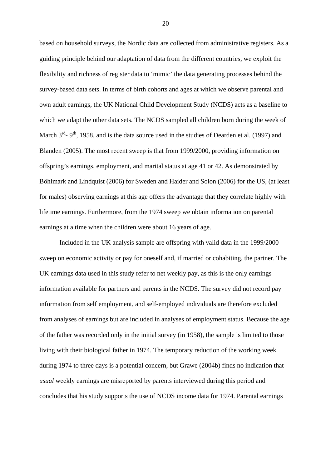based on household surveys, the Nordic data are collected from administrative registers. As a guiding principle behind our adaptation of data from the different countries, we exploit the flexibility and richness of register data to 'mimic' the data generating processes behind the survey-based data sets. In terms of birth cohorts and ages at which we observe parental and own adult earnings, the UK National Child Development Study (NCDS) acts as a baseline to which we adapt the other data sets. The NCDS sampled all children born during the week of March  $3<sup>rd</sup>$ - 9<sup>th</sup>, 1958, and is the data source used in the studies of Dearden et al. (1997) and Blanden (2005). The most recent sweep is that from 1999/2000, providing information on offspring's earnings, employment, and marital status at age 41 or 42. As demonstrated by Böhlmark and Lindquist (2006) for Sweden and Haider and Solon (2006) for the US, (at least for males) observing earnings at this age offers the advantage that they correlate highly with lifetime earnings. Furthermore, from the 1974 sweep we obtain information on parental earnings at a time when the children were about 16 years of age.

Included in the UK analysis sample are offspring with valid data in the 1999/2000 sweep on economic activity or pay for oneself and, if married or cohabiting, the partner. The UK earnings data used in this study refer to net weekly pay, as this is the only earnings information available for partners and parents in the NCDS. The survey did not record pay information from self employment, and self-employed individuals are therefore excluded from analyses of earnings but are included in analyses of employment status. Because the age of the father was recorded only in the initial survey (in 1958), the sample is limited to those living with their biological father in 1974. The temporary reduction of the working week during 1974 to three days is a potential concern, but Grawe (2004b) finds no indication that *usual* weekly earnings are misreported by parents interviewed during this period and concludes that his study supports the use of NCDS income data for 1974. Parental earnings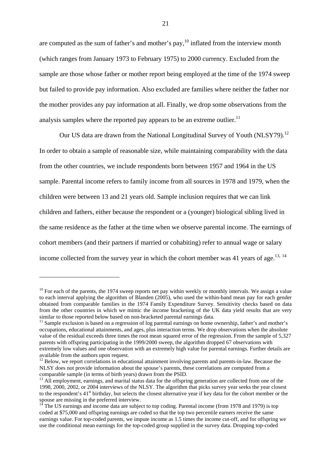are computed as the sum of father's and mother's pay, $10$  inflated from the interview month (which ranges from January 1973 to February 1975) to 2000 currency. Excluded from the sample are those whose father or mother report being employed at the time of the 1974 sweep but failed to provide pay information. Also excluded are families where neither the father nor the mother provides any pay information at all. Finally, we drop some observations from the analysis samples where the reported pay appears to be an extreme outlier.<sup>11</sup>

Our US data are drawn from the National Longitudinal Survey of Youth (NLSY79).<sup>[12](#page-21-2)</sup> In order to obtain a sample of reasonable size, while maintaining comparability with the data from the other countries, we include respondents born between 1957 and 1964 in the US sample. Parental income refers to family income from all sources in 1978 and 1979, when the children were between 13 and 21 years old. Sample inclusion requires that we can link children and fathers, either because the respondent or a (younger) biological sibling lived in the same residence as the father at the time when we observe parental income. The earnings of cohort members (and their partners if married or cohabiting) refer to annual wage or salary income collected from the survey year in which the cohort member was 41 years of age.<sup>13, [14](#page-21-4)</sup>

 $\overline{a}$ 

<span id="page-21-0"></span> $10$  For each of the parents, the 1974 sweep reports net pay within weekly or monthly intervals. We assign a value to each interval applying the algorithm of Blanden (2005), who used the within-band mean pay for each gender obtained from comparable families in the 1974 Family Expenditure Survey. Sensitivity checks based on data from the other countries in which we mimic the income bracketing of the UK data yield results that are very similar to those reported below based on non-bracketed parental earnings data.

<span id="page-21-1"></span> $<sup>11</sup>$  Sample exclusion is based on a regression of log parental earnings on home ownership, father's and mother's</sup> occupations, educational attainments, and ages, plus interaction terms. We drop observations when the absolute value of the residual exceeds three times the root mean squared error of the regression. From the sample of 5,327 parents with offspring participating in the 1999/2000 sweep, the algorithm dropped 67 observations with extremely low values and one observation with an extremely high value for parental earnings. Further details are available from the authors upon request.<br><sup>12</sup> Below, we report correlations in educational attainment involving parents and parents-in-law. Because the

<span id="page-21-2"></span>NLSY does not provide information about the spouse's parents, these correlations are computed from a comparable sample (in terms of birth years) drawn from the PSID.

<span id="page-21-3"></span><sup>&</sup>lt;sup>13</sup> All employment, earnings, and marital status data for the offspring generation are collected from one of the 1998, 2000, 2002, or 2004 interviews of the NLSY. The algorithm that picks survey year seeks the year closest to the respondent's  $41^{\text{st}}$  birthday, but selects the closest alternative year if key data for the cohort member or the spouse are missing in the preferred interview.

<span id="page-21-4"></span>The US earnings and income data are subject to top coding. Parental income (from 1978 and 1979) is top coded at \$75,000 and offspring earnings are coded so that the top two percentile earners receive the same earnings value. For top-coded parents, we impute income as 1.5 times the income cut-off, and for offspring we use the conditional mean earnings for the top-coded group supplied in the survey data. Dropping top-coded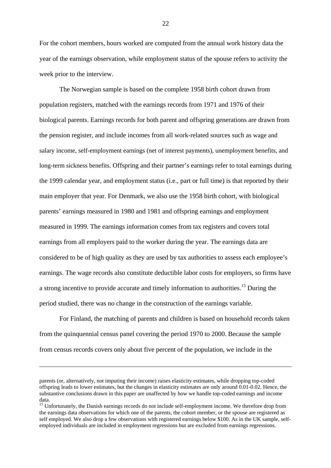For the cohort members, hours worked are computed from the annual work history data the year of the earnings observation, while employment status of the spouse refers to activity the week prior to the interview.

The Norwegian sample is based on the complete 1958 birth cohort drawn from population registers, matched with the earnings records from 1971 and 1976 of their biological parents. Earnings records for both parent and offspring generations are drawn from the pension register, and include incomes from all work-related sources such as wage and salary income, self-employment earnings (net of interest payments), unemployment benefits, and long-term sickness benefits. Offspring and their partner's earnings refer to total earnings during the 1999 calendar year, and employment status (i.e., part or full time) is that reported by their main employer that year. For Denmark, we also use the 1958 birth cohort, with biological parents' earnings measured in 1980 and 1981 and offspring earnings and employment measured in 1999. The earnings information comes from tax registers and covers total earnings from all employers paid to the worker during the year. The earnings data are considered to be of high quality as they are used by tax authorities to assess each employee's earnings. The wage records also constitute deductible labor costs for employers, so firms have a strong incentive to provide accurate and timely information to authorities.<sup>15</sup> During the period studied, there was no change in the construction of the earnings variable.

For Finland, the matching of parents and children is based on household records taken from the quinquennial census panel covering the period 1970 to 2000. Because the sample from census records covers only about five percent of the population, we include in the

 $\overline{a}$ 

parents (or, alternatively, not imputing their income) raises elasticity estimates, while dropping top-coded offspring leads to lower estimates, but the changes in elasticity estimates are only around 0.01-0.02. Hence, the substantive conclusions drawn in this paper are unaffected by how we handle top-coded earnings and income data.

<span id="page-22-0"></span><sup>&</sup>lt;sup>15</sup> Unfortunately, the Danish earnings records do not include self-employment income. We therefore drop from the earnings data observations for which one of the parents, the cohort member, or the spouse are registered as self employed. We also drop a few observations with registered earnings below \$100. As in the UK sample, selfemployed individuals are included in employment regressions but are excluded from earnings regressions.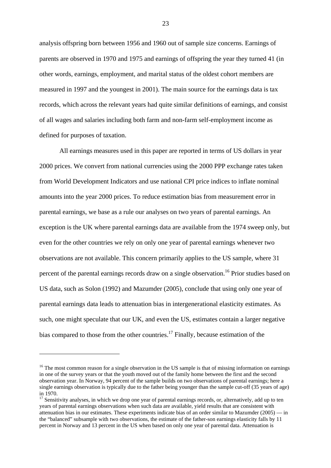analysis offspring born between 1956 and 1960 out of sample size concerns. Earnings of parents are observed in 1970 and 1975 and earnings of offspring the year they turned 41 (in other words, earnings, employment, and marital status of the oldest cohort members are measured in 1997 and the youngest in 2001). The main source for the earnings data is tax records, which across the relevant years had quite similar definitions of earnings, and consist of all wages and salaries including both farm and non-farm self-employment income as defined for purposes of taxation.

All earnings measures used in this paper are reported in terms of US dollars in year 2000 prices. We convert from national currencies using the 2000 PPP exchange rates taken from World Development Indicators and use national CPI price indices to inflate nominal amounts into the year 2000 prices. To reduce estimation bias from measurement error in parental earnings, we base as a rule our analyses on two years of parental earnings. An exception is the UK where parental earnings data are available from the 1974 sweep only, but even for the other countries we rely on only one year of parental earnings whenever two observations are not available. This concern primarily applies to the US sample, where 31 percent of the parental earnings records draw on a single observation.<sup>16</sup> Prior studies based on US data, such as Solon (1992) and Mazumder (2005), conclude that using only one year of parental earnings data leads to attenuation bias in intergenerational elasticity estimates. As such, one might speculate that our UK, and even the US, estimates contain a larger negative bias compared to those from the other countries.[17](#page-23-1) Finally, because estimation of the

 $\overline{a}$ 

<span id="page-23-0"></span><sup>&</sup>lt;sup>16</sup> The most common reason for a single observation in the US sample is that of missing information on earnings in one of the survey years or that the youth moved out of the family home between the first and the second observation year. In Norway, 94 percent of the sample builds on two observations of parental earnings; here a single earnings observation is typically due to the father being younger than the sample cut-off (35 years of age) in 1970.

<span id="page-23-1"></span> $17$  Sensitivity analyses, in which we drop one year of parental earnings records, or, alternatively, add up to ten years of parental earnings observations when such data are available, yield results that are consistent with attenuation bias in our estimates. These experiments indicate bias of an order similar to Mazumder (2005) — in the "balanced" subsample with two observations, the estimate of the father-son earnings elasticity falls by 11 percent in Norway and 13 percent in the US when based on only one year of parental data. Attenuation is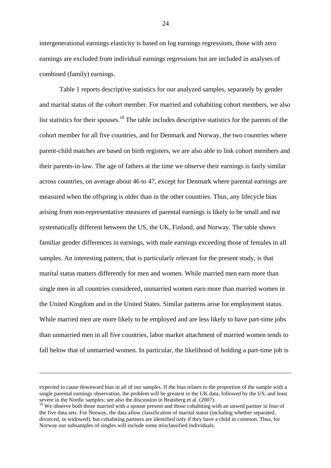intergenerational earnings elasticity is based on log earnings regressions, those with zero earnings are excluded from individual earnings regressions but are included in analyses of combined (family) earnings.

Table 1 reports descriptive statistics for our analyzed samples, separately by gender and marital status of the cohort member. For married and cohabiting cohort members, we also list statistics for their spouses.<sup>18</sup> The table includes descriptive statistics for the parents of the cohort member for all five countries, and for Denmark and Norway, the two countries where parent-child matches are based on birth registers, we are also able to link cohort members and their parents-in-law. The age of fathers at the time we observe their earnings is fairly similar across countries, on average about 46 to 47, except for Denmark where parental earnings are measured when the offspring is older than in the other countries. Thus, any lifecycle bias arising from non-representative measures of parental earnings is likely to be small and not systematically different between the US, the UK, Finland, and Norway. The table shows familiar gender differences in earnings, with male earnings exceeding those of females in all samples. An interesting pattern, that is particularly relevant for the present study, is that marital status matters differently for men and women. While married men earn more than single men in all countries considered, unmarried women earn more than married women in the United Kingdom and in the United States. Similar patterns arise for employment status. While married men are more likely to be employed and are less likely to have part-time jobs than unmarried men in all five countries, labor market attachment of married women tends to fall below that of unmarried women. In particular, the likelihood of holding a part-time job is

expected to cause downward bias in all of our samples. If the bias relates to the proportion of the sample with a single parental earnings observation, the problem will be greatest in the UK data, followed by the US, and least severe in the Nordic samples; see also the discussion in Bratsberg et al. (2007).

<span id="page-24-0"></span> $18$  We observe both those married with a spouse present and those cohabiting with an unwed partner in four of the five data sets. For Norway, the data allow classification of marital status (including whether separated, divorced, or widowed), but cohabiting partners are identified only if they have a child in common. Thus, for Norway our subsamples of singles will include some misclassified individuals.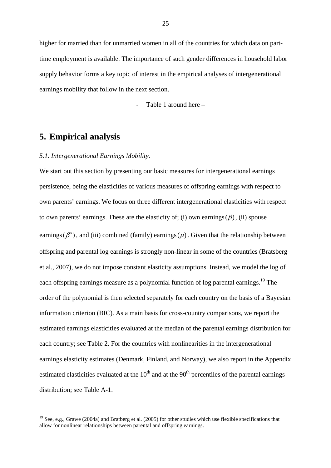higher for married than for unmarried women in all of the countries for which data on parttime employment is available. The importance of such gender differences in household labor supply behavior forms a key topic of interest in the empirical analyses of intergenerational earnings mobility that follow in the next section.

- Table 1 around here –

### **5. Empirical analysis**

1

#### *5.1. Intergenerational Earnings Mobility.*

We start out this section by presenting our basic measures for intergenerational earnings persistence, being the elasticities of various measures of offspring earnings with respect to own parents' earnings. We focus on three different intergenerational elasticities with respect to own parents' earnings. These are the elasticity of; (i) own earnings  $(\beta)$ , (ii) spouse earnings ( $\beta^s$ ), and (iii) combined (family) earnings ( $\mu$ ). Given that the relationship between offspring and parental log earnings is strongly non-linear in some of the countries (Bratsberg et al., 2007), we do not impose constant elasticity assumptions. Instead, we model the log of each offspring earnings measure as a polynomial function of log parental earnings.<sup>19</sup> The order of the polynomial is then selected separately for each country on the basis of a Bayesian information criterion (BIC). As a main basis for cross-country comparisons, we report the estimated earnings elasticities evaluated at the median of the parental earnings distribution for each country; see Table 2. For the countries with nonlinearities in the intergenerational earnings elasticity estimates (Denmark, Finland, and Norway), we also report in the Appendix estimated elasticities evaluated at the  $10<sup>th</sup>$  and at the  $90<sup>th</sup>$  percentiles of the parental earnings distribution; see Table A-1.

<span id="page-25-0"></span><sup>&</sup>lt;sup>19</sup> See, e.g., Grawe (2004a) and Bratberg et al. (2005) for other studies which use flexible specifications that allow for nonlinear relationships between parental and offspring earnings.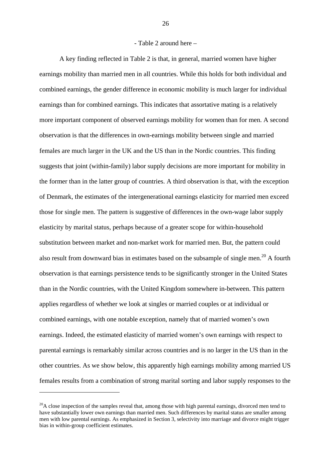#### - Table 2 around here –

A key finding reflected in Table 2 is that, in general, married women have higher earnings mobility than married men in all countries. While this holds for both individual and combined earnings, the gender difference in economic mobility is much larger for individual earnings than for combined earnings. This indicates that assortative mating is a relatively more important component of observed earnings mobility for women than for men. A second observation is that the differences in own-earnings mobility between single and married females are much larger in the UK and the US than in the Nordic countries. This finding suggests that joint (within-family) labor supply decisions are more important for mobility in the former than in the latter group of countries. A third observation is that, with the exception of Denmark, the estimates of the intergenerational earnings elasticity for married men exceed those for single men. The pattern is suggestive of differences in the own-wage labor supply elasticity by marital status, perhaps because of a greater scope for within-household substitution between market and non-market work for married men. But, the pattern could also result from downward bias in estimates based on the subsample of single men.<sup>20</sup> A fourth observation is that earnings persistence tends to be significantly stronger in the United States than in the Nordic countries, with the United Kingdom somewhere in-between. This pattern applies regardless of whether we look at singles or married couples or at individual or combined earnings, with one notable exception, namely that of married women's own earnings. Indeed, the estimated elasticity of married women's own earnings with respect to parental earnings is remarkably similar across countries and is no larger in the US than in the other countries. As we show below, this apparently high earnings mobility among married US females results from a combination of strong marital sorting and labor supply responses to the

 $\overline{a}$ 

<span id="page-26-0"></span> $^{20}$ A close inspection of the samples reveal that, among those with high parental earnings, divorced men tend to have substantially lower own earnings than married men. Such differences by marital status are smaller among men with low parental earnings. As emphasized in Section 3, selectivity into marriage and divorce might trigger bias in within-group coefficient estimates.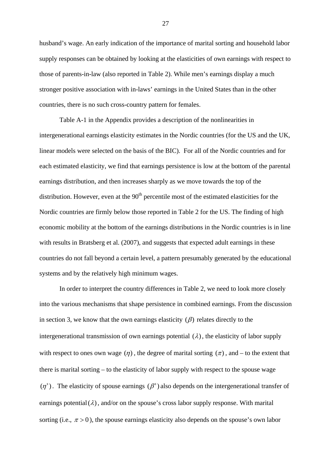husband's wage. An early indication of the importance of marital sorting and household labor supply responses can be obtained by looking at the elasticities of own earnings with respect to those of parents-in-law (also reported in Table 2). While men's earnings display a much stronger positive association with in-laws' earnings in the United States than in the other countries, there is no such cross-country pattern for females.

Table A-1 in the Appendix provides a description of the nonlinearities in intergenerational earnings elasticity estimates in the Nordic countries (for the US and the UK, linear models were selected on the basis of the BIC). For all of the Nordic countries and for each estimated elasticity, we find that earnings persistence is low at the bottom of the parental earnings distribution, and then increases sharply as we move towards the top of the distribution. However, even at the  $90<sup>th</sup>$  percentile most of the estimated elasticities for the Nordic countries are firmly below those reported in Table 2 for the US. The finding of high economic mobility at the bottom of the earnings distributions in the Nordic countries is in line with results in Bratsberg et al. (2007), and suggests that expected adult earnings in these countries do not fall beyond a certain level, a pattern presumably generated by the educational systems and by the relatively high minimum wages.

In order to interpret the country differences in Table 2, we need to look more closely into the various mechanisms that shape persistence in combined earnings. From the discussion in section 3, we know that the own earnings elasticity  $(\beta)$  relates directly to the intergenerational transmission of own earnings potential  $(\lambda)$ , the elasticity of labor supply with respect to ones own wage  $(\eta)$ , the degree of marital sorting  $(\pi)$ , and – to the extent that there is marital sorting – to the elasticity of labor supply with respect to the spouse wage  $(\eta^s)$ . The elasticity of spouse earnings  $(\beta^s)$  also depends on the intergenerational transfer of earnings potential( $\lambda$ ), and/or on the spouse's cross labor supply response. With marital sorting (i.e.,  $\pi > 0$ ), the spouse earnings elasticity also depends on the spouse's own labor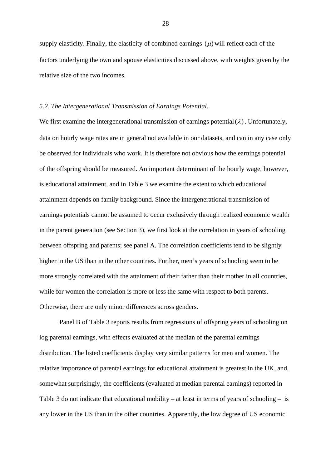supply elasticity. Finally, the elasticity of combined earnings  $(\mu)$  will reflect each of the factors underlying the own and spouse elasticities discussed above, with weights given by the relative size of the two incomes.

#### *5.2. The Intergenerational Transmission of Earnings Potential.*

We first examine the intergenerational transmission of earnings potential( $\lambda$ ). Unfortunately, data on hourly wage rates are in general not available in our datasets, and can in any case only be observed for individuals who work. It is therefore not obvious how the earnings potential of the offspring should be measured. An important determinant of the hourly wage, however, is educational attainment, and in Table 3 we examine the extent to which educational attainment depends on family background. Since the intergenerational transmission of earnings potentials cannot be assumed to occur exclusively through realized economic wealth in the parent generation (see Section 3), we first look at the correlation in years of schooling between offspring and parents; see panel A. The correlation coefficients tend to be slightly higher in the US than in the other countries. Further, men's years of schooling seem to be more strongly correlated with the attainment of their father than their mother in all countries, while for women the correlation is more or less the same with respect to both parents. Otherwise, there are only minor differences across genders.

Panel B of Table 3 reports results from regressions of offspring years of schooling on log parental earnings, with effects evaluated at the median of the parental earnings distribution. The listed coefficients display very similar patterns for men and women. The relative importance of parental earnings for educational attainment is greatest in the UK, and, somewhat surprisingly, the coefficients (evaluated at median parental earnings) reported in Table 3 do not indicate that educational mobility – at least in terms of years of schooling – is any lower in the US than in the other countries. Apparently, the low degree of US economic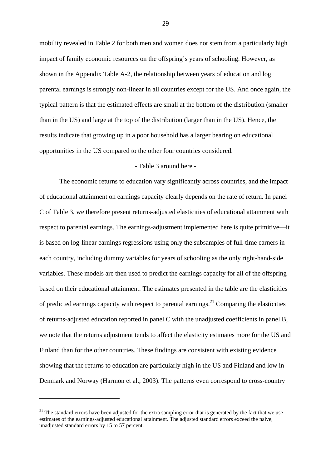mobility revealed in Table 2 for both men and women does not stem from a particularly high impact of family economic resources on the offspring's years of schooling. However, as shown in the Appendix Table A-2, the relationship between years of education and log parental earnings is strongly non-linear in all countries except for the US. And once again, the typical pattern is that the estimated effects are small at the bottom of the distribution (smaller than in the US) and large at the top of the distribution (larger than in the US). Hence, the results indicate that growing up in a poor household has a larger bearing on educational opportunities in the US compared to the other four countries considered.

#### - Table 3 around here -

 The economic returns to education vary significantly across countries, and the impact of educational attainment on earnings capacity clearly depends on the rate of return. In panel C of Table 3, we therefore present returns-adjusted elasticities of educational attainment with respect to parental earnings. The earnings-adjustment implemented here is quite primitive—it is based on log-linear earnings regressions using only the subsamples of full-time earners in each country, including dummy variables for years of schooling as the only right-hand-side variables. These models are then used to predict the earnings capacity for all of the offspring based on their educational attainment. The estimates presented in the table are the elasticities of predicted earnings capacity with respect to parental earnings.<sup>21</sup> Comparing the elasticities of returns-adjusted education reported in panel C with the unadjusted coefficients in panel B, we note that the returns adjustment tends to affect the elasticity estimates more for the US and Finland than for the other countries. These findings are consistent with existing evidence showing that the returns to education are particularly high in the US and Finland and low in Denmark and Norway (Harmon et al., 2003). The patterns even correspond to cross-country

<span id="page-29-0"></span><sup>&</sup>lt;sup>21</sup> The standard errors have been adjusted for the extra sampling error that is generated by the fact that we use estimates of the earnings-adjusted educational attainment. The adjusted standard errors exceed the naive, unadjusted standard errors by 15 to 57 percent.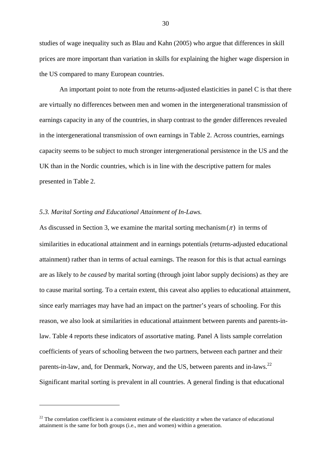studies of wage inequality such as Blau and Kahn (2005) who argue that differences in skill prices are more important than variation in skills for explaining the higher wage dispersion in the US compared to many European countries.

An important point to note from the returns-adjusted elasticities in panel C is that there are virtually no differences between men and women in the intergenerational transmission of earnings capacity in any of the countries, in sharp contrast to the gender differences revealed in the intergenerational transmission of own earnings in Table 2. Across countries, earnings capacity seems to be subject to much stronger intergenerational persistence in the US and the UK than in the Nordic countries, which is in line with the descriptive pattern for males presented in Table 2.

#### *5.3. Marital Sorting and Educational Attainment of In-Laws.*

1

As discussed in Section 3, we examine the marital sorting mechanism  $(\pi)$  in terms of similarities in educational attainment and in earnings potentials (returns-adjusted educational attainment) rather than in terms of actual earnings. The reason for this is that actual earnings are as likely to *be caused* by marital sorting (through joint labor supply decisions) as they are to cause marital sorting. To a certain extent, this caveat also applies to educational attainment, since early marriages may have had an impact on the partner's years of schooling. For this reason, we also look at similarities in educational attainment between parents and parents-inlaw. Table 4 reports these indicators of assortative mating. Panel A lists sample correlation coefficients of years of schooling between the two partners, between each partner and their parents-in-law, and, for Denmark, Norway, and the US, between parents and in-laws.<sup>22</sup> Significant marital sorting is prevalent in all countries. A general finding is that educational

<span id="page-30-0"></span><sup>&</sup>lt;sup>22</sup> The correlation coefficient is a consistent estimate of the elasticitity  $\pi$  when the variance of educational attainment is the same for both groups (i.e., men and women) within a generation.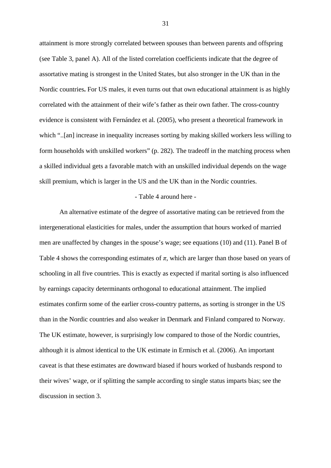attainment is more strongly correlated between spouses than between parents and offspring (see Table 3, panel A). All of the listed correlation coefficients indicate that the degree of assortative mating is strongest in the United States, but also stronger in the UK than in the Nordic countries**.** For US males, it even turns out that own educational attainment is as highly correlated with the attainment of their wife's father as their own father. The cross-country evidence is consistent with Fernández et al*.* (2005), who present a theoretical framework in which "...[an] increase in inequality increases sorting by making skilled workers less willing to form households with unskilled workers" (p. 282). The tradeoff in the matching process when a skilled individual gets a favorable match with an unskilled individual depends on the wage skill premium, which is larger in the US and the UK than in the Nordic countries.

#### - Table 4 around here -

An alternative estimate of the degree of assortative mating can be retrieved from the intergenerational elasticities for males, under the assumption that hours worked of married men are unaffected by changes in the spouse's wage; see equations (10) and (11). Panel B of Table 4 shows the corresponding estimates of  $\pi$ , which are larger than those based on years of schooling in all five countries. This is exactly as expected if marital sorting is also influenced by earnings capacity determinants orthogonal to educational attainment. The implied estimates confirm some of the earlier cross-country patterns, as sorting is stronger in the US than in the Nordic countries and also weaker in Denmark and Finland compared to Norway. The UK estimate, however, is surprisingly low compared to those of the Nordic countries, although it is almost identical to the UK estimate in Ermisch et al. (2006). An important caveat is that these estimates are downward biased if hours worked of husbands respond to their wives' wage, or if splitting the sample according to single status imparts bias; see the discussion in section 3.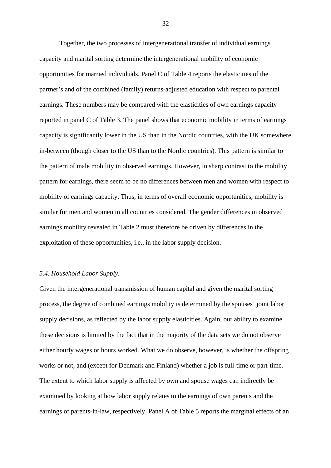Together, the two processes of intergenerational transfer of individual earnings capacity and marital sorting determine the intergenerational mobility of economic opportunities for married individuals. Panel C of Table 4 reports the elasticities of the partner's and of the combined (family) returns-adjusted education with respect to parental earnings. These numbers may be compared with the elasticities of own earnings capacity reported in panel C of Table 3. The panel shows that economic mobility in terms of earnings capacity is significantly lower in the US than in the Nordic countries, with the UK somewhere in-between (though closer to the US than to the Nordic countries). This pattern is similar to the pattern of male mobility in observed earnings. However, in sharp contrast to the mobility pattern for earnings, there seem to be no differences between men and women with respect to mobility of earnings capacity. Thus, in terms of overall economic opportunities, mobility is similar for men and women in all countries considered. The gender differences in observed earnings mobility revealed in Table 2 must therefore be driven by differences in the exploitation of these opportunities, i.e., in the labor supply decision.

#### *5.4. Household Labor Supply.*

Given the intergenerational transmission of human capital and given the marital sorting process, the degree of combined earnings mobility is determined by the spouses' joint labor supply decisions, as reflected by the labor supply elasticities. Again, our ability to examine these decisions is limited by the fact that in the majority of the data sets we do not observe either hourly wages or hours worked. What we do observe, however, is whether the offspring works or not, and (except for Denmark and Finland) whether a job is full-time or part-time. The extent to which labor supply is affected by own and spouse wages can indirectly be examined by looking at how labor supply relates to the earnings of own parents and the earnings of parents-in-law, respectively. Panel A of Table 5 reports the marginal effects of an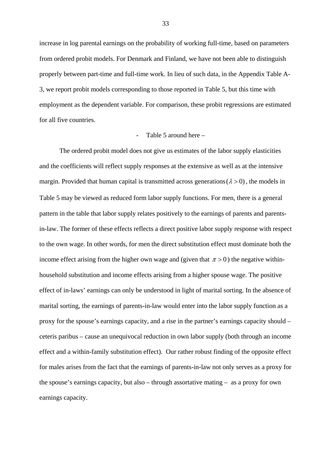increase in log parental earnings on the probability of working full-time, based on parameters from ordered probit models. For Denmark and Finland, we have not been able to distinguish properly between part-time and full-time work. In lieu of such data, in the Appendix Table A-3, we report probit models corresponding to those reported in Table 5, but this time with employment as the dependent variable. For comparison, these probit regressions are estimated for all five countries.

#### Table 5 around here –

The ordered probit model does not give us estimates of the labor supply elasticities and the coefficients will reflect supply responses at the extensive as well as at the intensive margin. Provided that human capital is transmitted across generations  $(\lambda > 0)$ , the models in Table 5 may be viewed as reduced form labor supply functions. For men, there is a general pattern in the table that labor supply relates positively to the earnings of parents and parentsin-law. The former of these effects reflects a direct positive labor supply response with respect to the own wage. In other words, for men the direct substitution effect must dominate both the income effect arising from the higher own wage and (given that  $\pi > 0$ ) the negative withinhousehold substitution and income effects arising from a higher spouse wage. The positive effect of in-laws' earnings can only be understood in light of marital sorting. In the absence of marital sorting, the earnings of parents-in-law would enter into the labor supply function as a proxy for the spouse's earnings capacity, and a rise in the partner's earnings capacity should – ceteris paribus – cause an unequivocal reduction in own labor supply (both through an income effect and a within-family substitution effect). Our rather robust finding of the opposite effect for males arises from the fact that the earnings of parents-in-law not only serves as a proxy for the spouse's earnings capacity, but also – through assortative mating – as a proxy for own earnings capacity.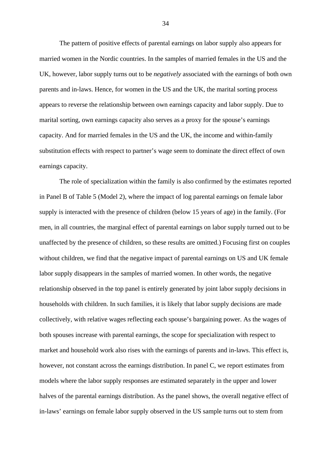The pattern of positive effects of parental earnings on labor supply also appears for married women in the Nordic countries. In the samples of married females in the US and the UK, however, labor supply turns out to be *negatively* associated with the earnings of both own parents and in-laws. Hence, for women in the US and the UK, the marital sorting process appears to reverse the relationship between own earnings capacity and labor supply. Due to marital sorting, own earnings capacity also serves as a proxy for the spouse's earnings capacity. And for married females in the US and the UK, the income and within-family substitution effects with respect to partner's wage seem to dominate the direct effect of own earnings capacity.

The role of specialization within the family is also confirmed by the estimates reported in Panel B of Table 5 (Model 2), where the impact of log parental earnings on female labor supply is interacted with the presence of children (below 15 years of age) in the family. (For men, in all countries, the marginal effect of parental earnings on labor supply turned out to be unaffected by the presence of children, so these results are omitted.) Focusing first on couples without children, we find that the negative impact of parental earnings on US and UK female labor supply disappears in the samples of married women. In other words, the negative relationship observed in the top panel is entirely generated by joint labor supply decisions in households with children. In such families, it is likely that labor supply decisions are made collectively, with relative wages reflecting each spouse's bargaining power. As the wages of both spouses increase with parental earnings, the scope for specialization with respect to market and household work also rises with the earnings of parents and in-laws. This effect is, however, not constant across the earnings distribution. In panel C, we report estimates from models where the labor supply responses are estimated separately in the upper and lower halves of the parental earnings distribution. As the panel shows, the overall negative effect of in-laws' earnings on female labor supply observed in the US sample turns out to stem from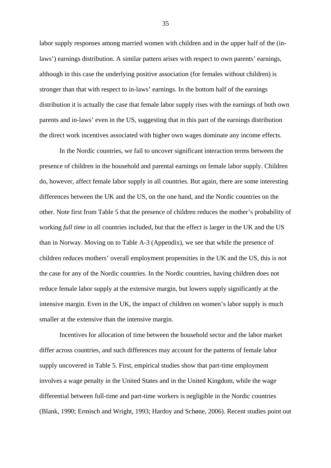labor supply responses among married women with children and in the upper half of the (inlaws') earnings distribution. A similar pattern arises with respect to own parents' earnings, although in this case the underlying positive association (for females without children) is stronger than that with respect to in-laws' earnings. In the bottom half of the earnings distribution it is actually the case that female labor supply rises with the earnings of both own parents and in-laws' even in the US, suggesting that in this part of the earnings distribution the direct work incentives associated with higher own wages dominate any income effects.

In the Nordic countries, we fail to uncover significant interaction terms between the presence of children in the household and parental earnings on female labor supply. Children do, however, affect female labor supply in all countries. But again, there are some interesting differences between the UK and the US, on the one hand, and the Nordic countries on the other. Note first from Table 5 that the presence of children reduces the mother's probability of working *full time* in all countries included, but that the effect is larger in the UK and the US than in Norway. Moving on to Table A-3 (Appendix), we see that while the presence of children reduces mothers' overall employment propensities in the UK and the US, this is not the case for any of the Nordic countries. In the Nordic countries, having children does not reduce female labor supply at the extensive margin, but lowers supply significantly at the intensive margin. Even in the UK, the impact of children on women's labor supply is much smaller at the extensive than the intensive margin.

Incentives for allocation of time between the household sector and the labor market differ across countries, and such differences may account for the patterns of female labor supply uncovered in Table 5. First, empirical studies show that part-time employment involves a wage penalty in the United States and in the United Kingdom, while the wage differential between full-time and part-time workers is negligible in the Nordic countries (Blank, 1990; Ermisch and Wright, 1993; Hardoy and Schøne, 2006). Recent studies point out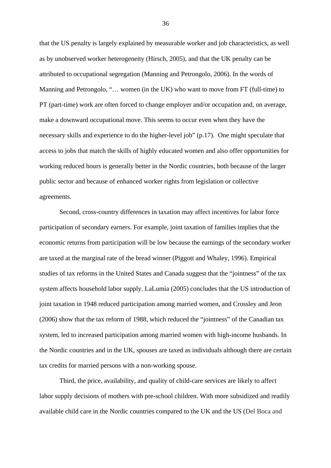that the US penalty is largely explained by measurable worker and job characteristics, as well as by unobserved worker heterogeneity (Hirsch, 2005), and that the UK penalty can be attributed to occupational segregation (Manning and Petrongolo, 2006). In the words of Manning and Petrongolo, "… women (in the UK) who want to move from FT (full-time) to PT (part-time) work are often forced to change employer and/or occupation and, on average, make a downward occupational move. This seems to occur even when they have the necessary skills and experience to do the higher-level job" (p.17). One might speculate that access to jobs that match the skills of highly educated women and also offer opportunities for working reduced hours is generally better in the Nordic countries, both because of the larger public sector and because of enhanced worker rights from legislation or collective agreements.

Second, cross-country differences in taxation may affect incentives for labor force participation of secondary earners. For example, joint taxation of families implies that the economic returns from participation will be low because the earnings of the secondary worker are taxed at the marginal rate of the bread winner (Piggott and Whaley, 1996). Empirical studies of tax reforms in the United States and Canada suggest that the "jointness" of the tax system affects household labor supply. LaLumia (2005) concludes that the US introduction of joint taxation in 1948 reduced participation among married women, and Crossley and Jeon (2006) show that the tax reform of 1988, which reduced the "jointness" of the Canadian tax system, led to increased participation among married women with high-income husbands. In the Nordic countries and in the UK, spouses are taxed as individuals although there are certain tax credits for married persons with a non-working spouse.

Third, the price, availability, and quality of child-care services are likely to affect labor supply decisions of mothers with pre-school children. With more subsidized and readily available child care in the Nordic countries compared to the UK and the US (Del Boca and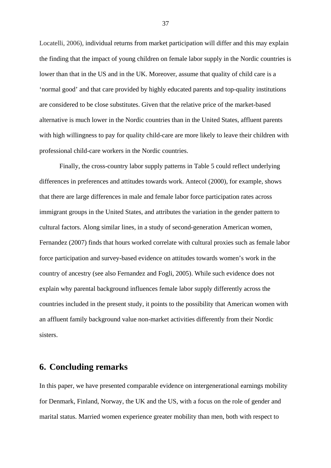Locatelli, 2006), individual returns from market participation will differ and this may explain the finding that the impact of young children on female labor supply in the Nordic countries is lower than that in the US and in the UK. Moreover, assume that quality of child care is a 'normal good' and that care provided by highly educated parents and top-quality institutions are considered to be close substitutes. Given that the relative price of the market-based alternative is much lower in the Nordic countries than in the United States, affluent parents with high willingness to pay for quality child-care are more likely to leave their children with professional child-care workers in the Nordic countries.

 Finally, the cross-country labor supply patterns in Table 5 could reflect underlying differences in preferences and attitudes towards work. Antecol (2000), for example, shows that there are large differences in male and female labor force participation rates across immigrant groups in the United States, and attributes the variation in the gender pattern to cultural factors. Along similar lines, in a study of second-generation American women, Fernandez (2007) finds that hours worked correlate with cultural proxies such as female labor force participation and survey-based evidence on attitudes towards women's work in the country of ancestry (see also Fernandez and Fogli, 2005). While such evidence does not explain why parental background influences female labor supply differently across the countries included in the present study, it points to the possibility that American women with an affluent family background value non-market activities differently from their Nordic sisters.

### **6. Concluding remarks**

In this paper, we have presented comparable evidence on intergenerational earnings mobility for Denmark, Finland, Norway, the UK and the US, with a focus on the role of gender and marital status. Married women experience greater mobility than men, both with respect to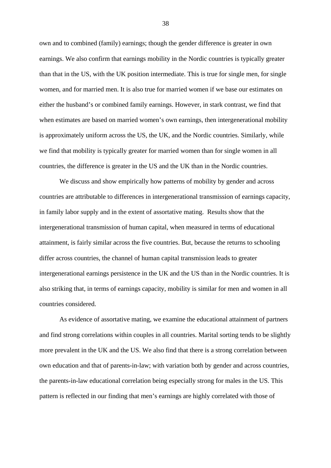own and to combined (family) earnings; though the gender difference is greater in own earnings. We also confirm that earnings mobility in the Nordic countries is typically greater than that in the US, with the UK position intermediate. This is true for single men, for single women, and for married men. It is also true for married women if we base our estimates on either the husband's or combined family earnings. However, in stark contrast, we find that when estimates are based on married women's own earnings, then intergenerational mobility is approximately uniform across the US, the UK, and the Nordic countries. Similarly, while we find that mobility is typically greater for married women than for single women in all countries, the difference is greater in the US and the UK than in the Nordic countries.

We discuss and show empirically how patterns of mobility by gender and across countries are attributable to differences in intergenerational transmission of earnings capacity, in family labor supply and in the extent of assortative mating. Results show that the intergenerational transmission of human capital, when measured in terms of educational attainment, is fairly similar across the five countries. But, because the returns to schooling differ across countries, the channel of human capital transmission leads to greater intergenerational earnings persistence in the UK and the US than in the Nordic countries. It is also striking that, in terms of earnings capacity, mobility is similar for men and women in all countries considered.

As evidence of assortative mating, we examine the educational attainment of partners and find strong correlations within couples in all countries. Marital sorting tends to be slightly more prevalent in the UK and the US. We also find that there is a strong correlation between own education and that of parents-in-law; with variation both by gender and across countries, the parents-in-law educational correlation being especially strong for males in the US. This pattern is reflected in our finding that men's earnings are highly correlated with those of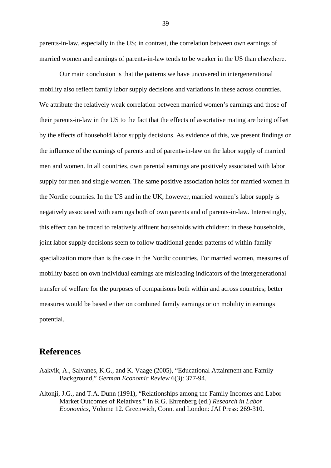parents-in-law, especially in the US; in contrast, the correlation between own earnings of married women and earnings of parents-in-law tends to be weaker in the US than elsewhere.

Our main conclusion is that the patterns we have uncovered in intergenerational mobility also reflect family labor supply decisions and variations in these across countries. We attribute the relatively weak correlation between married women's earnings and those of their parents-in-law in the US to the fact that the effects of assortative mating are being offset by the effects of household labor supply decisions. As evidence of this, we present findings on the influence of the earnings of parents and of parents-in-law on the labor supply of married men and women. In all countries, own parental earnings are positively associated with labor supply for men and single women. The same positive association holds for married women in the Nordic countries. In the US and in the UK, however, married women's labor supply is negatively associated with earnings both of own parents and of parents-in-law. Interestingly, this effect can be traced to relatively affluent households with children: in these households, joint labor supply decisions seem to follow traditional gender patterns of within-family specialization more than is the case in the Nordic countries. For married women, measures of mobility based on own individual earnings are misleading indicators of the intergenerational transfer of welfare for the purposes of comparisons both within and across countries; better measures would be based either on combined family earnings or on mobility in earnings potential.

### **References**

- Aakvik, A., Salvanes, K.G., and K. Vaage (2005), "Educational Attainment and Family Background," *German Economic Review* 6(3): 377-94.
- Altonji, J.G., and T.A. Dunn (1991), "Relationships among the Family Incomes and Labor Market Outcomes of Relatives." In R.G. Ehrenberg (ed.) *Research in Labor Economics*, Volume 12. Greenwich, Conn. and London: JAI Press: 269-310.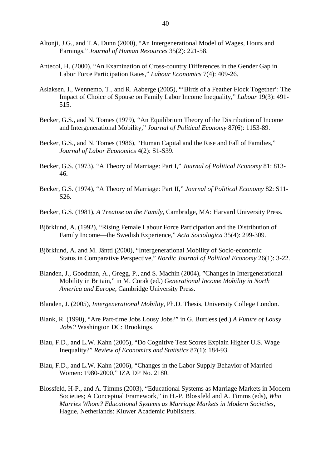- Altonji, J.G., and T.A. Dunn (2000), "An Intergenerational Model of Wages, Hours and Earnings," *Journal of Human Resources* 35(2): 221-58.
- Antecol, H. (2000), "An Examination of Cross-country Differences in the Gender Gap in Labor Force Participation Rates," *Labour Economics* 7(4): 409-26.
- Aslaksen, I., Wennemo, T., and R. Aaberge (2005), "'Birds of a Feather Flock Together': The Impact of Choice of Spouse on Family Labor Income Inequality," *Labour* 19(3): 491- 515.
- Becker, G.S., and N. Tomes (1979), "An Equilibrium Theory of the Distribution of Income and Intergenerational Mobility," *Journal of Political Economy* 87(6): 1153-89.
- Becker, G.S., and N. Tomes (1986), "Human Capital and the Rise and Fall of Families," *Journal of Labor Economics* 4(2): S1-S39.
- Becker, G.S. (1973), "A Theory of Marriage: Part I," *Journal of Political Economy* 81: 813- 46.
- Becker, G.S. (1974), "A Theory of Marriage: Part II," *Journal of Political Economy* 82: S11- S26.
- Becker, G.S. (1981), *A Treatise on the Family*, Cambridge, MA: Harvard University Press.
- Björklund, A. (1992), "Rising Female Labour Force Participation and the Distribution of Family Income—the Swedish Experience," *Acta Sociologica* 35(4): 299-309.
- Björklund, A. and M. Jäntti (2000), "Intergenerational Mobility of Socio-economic Status in Comparative Perspective," *Nordic Journal of Political Economy* 26(1): 3-22.
- Blanden, J., Goodman, A., Gregg, P., and S. Machin (2004), "Changes in Intergenerational Mobility in Britain," in M. Corak (ed.) *Generational Income Mobility in North America and Europe,* Cambridge University Press.
- Blanden, J. (2005), *Intergenerational Mobility*, Ph.D. Thesis, University College London.
- Blank, R. (1990), "Are Part-time Jobs Lousy Jobs?" in G. Burtless (ed.) *A Future of Lousy Jobs?* Washington DC: Brookings.
- Blau, F.D., and L.W. Kahn (2005), "Do Cognitive Test Scores Explain Higher U.S. Wage Inequality?" *Review of Economics and Statistics* 87(1): 184-93.
- Blau, F.D., and L.W. Kahn (2006), "Changes in the Labor Supply Behavior of Married Women: 1980-2000," IZA DP No. 2180.
- Blossfeld, H-P., and A. Timms (2003), "Educational Systems as Marriage Markets in Modern Societies; A Conceptual Framework," in H.-P. Blossfeld and A. Timms (eds), *Who Marries Whom? Educational Systems as Marriage Markets in Modern Societies,* Hague, Netherlands: Kluwer Academic Publishers.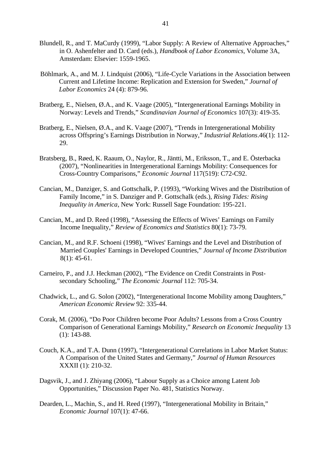- Blundell, R., and T. MaCurdy (1999), "Labor Supply: A Review of Alternative Approaches," in O. Ashenfelter and D. Card (eds.), *Handbook of Labor Economics*, Volume 3A, Amsterdam: Elsevier: 1559-1965.
- Böhlmark, A., and M. J. Lindquist (2006), "Life-Cycle Variations in the Association between Current and Lifetime Income: Replication and Extension for Sweden," *Journal of Labor Economics* 24 (4): 879-96.
- Bratberg, E., Nielsen, Ø.A., and K. Vaage (2005), "Intergenerational Earnings Mobility in Norway: Levels and Trends," *Scandinavian Journal of Economics* 107(3): 419-35.
- Bratberg, E., Nielsen, Ø.A., and K. Vaage (2007), "Trends in Intergenerational Mobility across Offspring's Earnings Distribution in Norway," *Industrial Relations*.46(1): 112- 29.
- Bratsberg, B., Røed, K. Raaum, O., Naylor, R., Jäntti, M., Eriksson, T., and E. Österbacka (2007), "Nonlinearities in Intergenerational Earnings Mobility: Consequences for Cross-Country Comparisons," *Economic Journal* 117(519): C72-C92.
- Cancian, M., Danziger, S. and Gottschalk, P. (1993), "Working Wives and the Distribution of Family Income," in S. Danziger and P. Gottschalk (eds.), *Rising Tides: Rising Inequality in America*, New York: Russell Sage Foundation: 195-221.
- Cancian, M., and D. Reed (1998), "Assessing the Effects of Wives' Earnings on Family Income Inequality," *Review of Economics and Statistics* 80(1): 73-79.
- Cancian, M., and R.F. Schoeni (1998), "Wives' Earnings and the Level and Distribution of Married Couples' Earnings in Developed Countries," *Journal of Income Distribution* 8(1): 45-61.
- Carneiro, P., and J.J. Heckman (2002), "The Evidence on Credit Constraints in Postsecondary Schooling," *The Economic Journal* 112: 705-34.
- Chadwick, L., and G. Solon (2002), "Intergenerational Income Mobility among Daughters," *American Economic Review* 92: 335-44.
- Corak, M. (2006), "Do Poor Children become Poor Adults? Lessons from a Cross Country Comparison of Generational Earnings Mobility," *Research on Economic Inequality* 13 (1): 143-88.
- Couch, K.A., and T.A. Dunn (1997), "Intergenerational Correlations in Labor Market Status: A Comparison of the United States and Germany," *Journal of Human Resources* XXXII (1): 210-32.
- Dagsvik, J., and J. Zhiyang (2006), "Labour Supply as a Choice among Latent Job Opportunities," Discussion Paper No. 481, Statistics Norway.
- Dearden, L., Machin, S., and H. Reed (1997), "Intergenerational Mobility in Britain," *Economic Journal* 107(1): 47-66.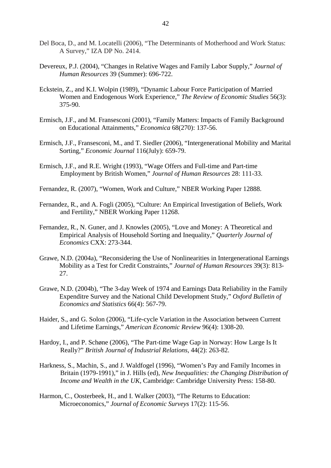- Del Boca, D., and M. Locatelli (2006), "The Determinants of Motherhood and Work Status: A Survey," IZA DP No. 2414.
- Devereux, P.J. (2004), "Changes in Relative Wages and Family Labor Supply," *Journal of Human Resources* 39 (Summer): 696-722.
- Eckstein, Z., and K.I. Wolpin (1989), "Dynamic Labour Force Participation of Married Women and Endogenous Work Experience," *The Review of Economic Studies* 56(3): 375-90.
- Ermisch, J.F., and M. Fransesconi (2001), "Family Matters: Impacts of Family Background on Educational Attainments," *Economica* 68(270): 137-56.
- Ermisch, J.F., Fransesconi, M., and T. Siedler (2006), "Intergenerational Mobility and Marital Sorting," *Economic Journal* 116(July): 659-79.
- Ermisch, J.F., and R.E. Wright (1993), "Wage Offers and Full-time and Part-time Employment by British Women," *Journal of Human Resources* 28: 111-33.
- Fernandez, R. (2007), "Women, Work and Culture," NBER Working Paper 12888.
- Fernandez, R., and A. Fogli (2005), "Culture: An Empirical Investigation of Beliefs, Work and Fertility," NBER Working Paper 11268.
- Fernandez, R., N. Guner, and J. Knowles (2005), "Love and Money: A Theoretical and Empirical Analysis of Household Sorting and Inequality," *Quarterly Journal of Economics* CXX: 273-344.
- Grawe, N.D. (2004a), "Reconsidering the Use of Nonlinearities in Intergenerational Earnings Mobility as a Test for Credit Constraints," *Journal of Human Resources* 39(3): 813- 27.
- Grawe, N.D. (2004b), "The 3-day Week of 1974 and Earnings Data Reliability in the Family Expenditre Survey and the National Child Development Study," *Oxford Bulletin of Economics and Statistics* 66(4): 567-79.
- Haider, S., and G. Solon (2006), "Life-cycle Variation in the Association between Current and Lifetime Earnings," *American Economic Review* 96(4): 1308-20.
- Hardoy, I., and P. Schøne (2006), "The Part-time Wage Gap in Norway: How Large Is It Really?" *British Journal of Industrial Relations,* 44(2): 263-82.
- Harkness, S., Machin, S., and J. Waldfogel (1996), "Women's Pay and Family Incomes in Britain (1979-1991)," in J. Hills (ed), *New Inequalities: the Changing Distribution of Income and Wealth in the UK*, Cambridge: Cambridge University Press: 158-80.
- Harmon, C., Oosterbeek, H., and I. Walker (2003), "The Returns to Education: Microeconomics," *Journal of Economic Surveys* 17(2): 115-56.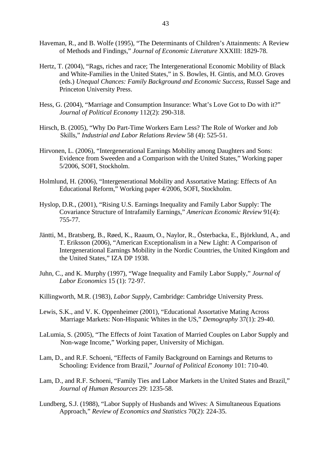- Haveman, R., and B. Wolfe (1995), "The Determinants of Children's Attainments: A Review of Methods and Findings," *Journal of Economic Literature* XXXIII: 1829-78.
- Hertz, T. (2004), "Rags, riches and race; The Intergenerational Economic Mobility of Black and White-Families in the United States," in S. Bowles, H. Gintis, and M.O. Groves (eds.) *Unequal Chances: Family Background and Economic Success*, Russel Sage and Princeton University Press.
- Hess, G. (2004), "Marriage and Consumption Insurance: What's Love Got to Do with it?" *Journal of Political Economy* 112(2): 290-318.
- Hirsch, B. (2005), "Why Do Part-Time Workers Earn Less? The Role of Worker and Job Skills," *Industrial and Labor Relations Review* 58 (4): 525-51.
- Hirvonen, L. (2006), "Intergenerational Earnings Mobility among Daughters and Sons: Evidence from Sweeden and a Comparison with the United States," Working paper 5/2006, SOFI, Stockholm.
- Holmlund, H. (2006), "Intergenerational Mobility and Assortative Mating: Effects of An Educational Reform," Working paper 4/2006, SOFI, Stockholm.
- Hyslop, D.R., (2001), "Rising U.S. Earnings Inequality and Family Labor Supply: The Covariance Structure of Intrafamily Earnings," *American Economic Review* 91(4): 755-77.
- Jäntti, M., Bratsberg, B., Røed, K., Raaum, O., Naylor, R., Österbacka, E., Björklund, A., and T. Eriksson (2006), "American Exceptionalism in a New Light: A Comparison of Intergenerational Earnings Mobility in the Nordic Countries, the United Kingdom and the United States," IZA DP 1938.
- Juhn, C., and K. Murphy (1997), "Wage Inequality and Family Labor Supply," *Journal of Labor Economics* 15 (1): 72-97.
- Killingworth, M.R. (1983), *Labor Supply*, Cambridge: Cambridge University Press.
- Lewis, S.K., and V. K. Oppenheimer (2001), "Educational Assortative Mating Across Marriage Markets: Non-Hispanic Whites in the US," *Demography* 37(1): 29-40.
- LaLumia, S. (2005), "The Effects of Joint Taxation of Married Couples on Labor Supply and Non-wage Income," Working paper, University of Michigan.
- Lam, D., and R.F. Schoeni, "Effects of Family Background on Earnings and Returns to Schooling: Evidence from Brazil," *Journal of Political Economy* 101: 710-40.
- Lam, D., and R.F. Schoeni, "Family Ties and Labor Markets in the United States and Brazil," *Journal of Human Resources* 29: 1235-58.
- Lundberg, S.J. (1988), "Labor Supply of Husbands and Wives: A Simultaneous Equations Approach," *Review of Economics and Statistics* 70(2): 224-35.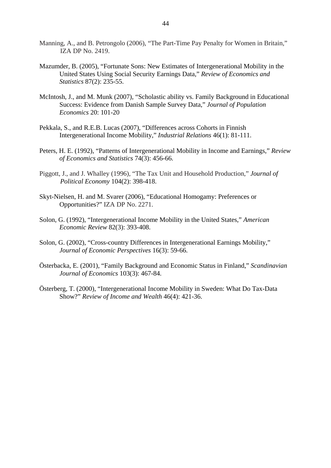- Manning, A., and B. Petrongolo (2006), "The Part-Time Pay Penalty for Women in Britain," IZA DP No. 2419.
- Mazumder, B. (2005), "Fortunate Sons: New Estimates of Intergenerational Mobility in the United States Using Social Security Earnings Data," *Review of Economics and Statistics* 87(2): 235-55.
- McIntosh, J., and M. Munk (2007), "Scholastic ability vs. Family Background in Educational Success: Evidence from Danish Sample Survey Data," *Journal of Population Economics* 20: 101-20
- Pekkala, S., and R.E.B. Lucas (2007), "Differences across Cohorts in Finnish Intergenerational Income Mobility," *Industrial Relations* 46(1): 81-111.
- Peters, H. E. (1992), "Patterns of Intergenerational Mobility in Income and Earnings," *Review of Economics and Statistics* 74(3): 456-66.
- Piggott, J., and J. Whalley (1996), "The Tax Unit and Household Production," *Journal of Political Economy* 104(2): 398-418.
- Skyt-Nielsen, H. and M. Svarer (2006), "Educational Homogamy: Preferences or Opportunities?" IZA DP No. 2271.
- Solon, G. (1992), "Intergenerational Income Mobility in the United States," *American Economic Review* 82(3): 393-408.
- Solon, G. (2002), "Cross-country Differences in Intergenerational Earnings Mobility," *Journal of Economic Perspectives* 16(3): 59-66.
- Österbacka, E. (2001), "Family Background and Economic Status in Finland," *Scandinavian Journal of Economics* 103(3): 467-84.
- Österberg, T. (2000), "Intergenerational Income Mobility in Sweden: What Do Tax-Data Show?" *Review of Income and Wealth* 46(4): 421-36.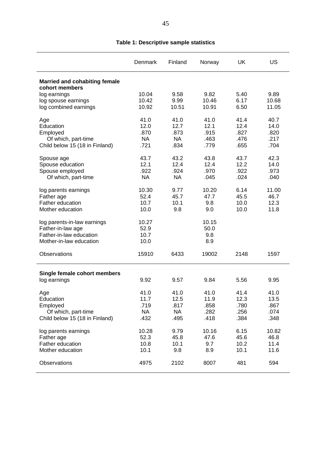|                                      | Denmark   | Finland   | Norway | UK   | <b>US</b> |
|--------------------------------------|-----------|-----------|--------|------|-----------|
| <b>Married and cohabiting female</b> |           |           |        |      |           |
| cohort members                       |           |           |        |      |           |
| log earnings                         | 10.04     | 9.58      | 9.82   | 5.40 | 9.89      |
| log spouse earnings                  | 10.42     | 9.99      | 10.46  | 6.17 | 10.68     |
| log combined earnings                | 10.92     | 10.51     | 10.91  | 6.50 | 11.05     |
| Age                                  | 41.0      | 41.0      | 41.0   | 41.4 | 40.7      |
| Education                            | 12.0      | 12.7      | 12.1   | 12.4 | 14.0      |
| Employed                             | .870      | .873      | .915   | .827 | .820      |
| Of which, part-time                  | <b>NA</b> | <b>NA</b> | .463   | .476 | .217      |
| Child below 15 (18 in Finland)       | .721      | .834      | .779   | .655 | .704      |
|                                      |           |           |        |      |           |
| Spouse age                           | 43.7      | 43.2      | 43.8   | 43.7 | 42.3      |
| Spouse education                     | 12.1      | 12.4      | 12.4   | 12.2 | 14.0      |
| Spouse employed                      | .922      | .924      | .970   | .922 | .973      |
| Of which, part-time                  | <b>NA</b> | <b>NA</b> | .045   | .024 | .040      |
|                                      |           |           |        |      |           |
| log parents earnings                 | 10.30     | 9.77      | 10.20  | 6.14 | 11.00     |
| Father age                           | 52.4      | 45.7      | 47.7   | 45.5 | 46.7      |
| Father education                     | 10.7      | 10.1      | 9.8    | 10.0 | 12.3      |
| Mother education                     | 10.0      | 9.8       | 9.0    | 10.0 | 11.8      |
| log parents-in-law earnings          | 10.27     |           | 10.15  |      |           |
| Father-in-law age                    | 52.9      |           | 50.0   |      |           |
| Father-in-law education              | 10.7      |           | 9.8    |      |           |
| Mother-in-law education              | 10.0      |           | 8.9    |      |           |
|                                      |           |           |        |      |           |
| Observations                         | 15910     | 6433      | 19002  | 2148 | 1597      |
| Single female cohort members         |           |           |        |      |           |
| log earnings                         | 9.92      | 9.57      | 9.84   | 5.56 | 9.95      |
|                                      |           |           |        | 41.4 |           |
| Age                                  | 41.0      | 41.0      | 41.0   |      | 41.0      |
| Education                            | 11.7      | 12.5      | 11.9   | 12.3 | 13.5      |
| Employed                             | .719      | .817      | .858   | .780 | .867      |
| Of which, part-time                  | <b>NA</b> | <b>NA</b> | .282   | .256 | .074      |
| Child below 15 (18 in Finland)       | .432      | .495      | .418   | .384 | .348      |
| log parents earnings                 | 10.28     | 9.79      | 10.16  | 6.15 | 10.82     |
| Father age                           | 52.3      | 45.8      | 47.6   | 45.6 | 46.8      |
| Father education                     | 10.8      | 10.1      | 9.7    | 10.2 | 11.4      |
| Mother education                     | 10.1      | 9.8       | 8.9    | 10.1 | 11.6      |
|                                      |           |           |        |      |           |
| Observations                         | 4975      | 2102      | 8007   | 481  | 594       |
|                                      |           |           |        |      |           |

### **Table 1: Descriptive sample statistics**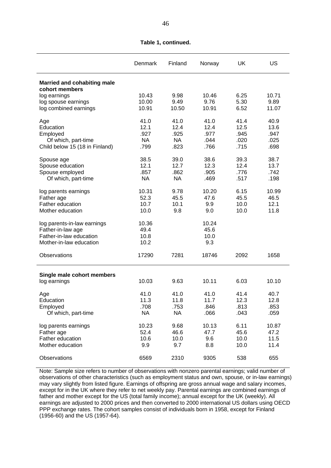|                                                      | Denmark   | Finland   | Norway | UK   | US    |
|------------------------------------------------------|-----------|-----------|--------|------|-------|
| <b>Married and cohabiting male</b><br>cohort members |           |           |        |      |       |
| log earnings                                         | 10.43     | 9.98      | 10.46  | 6.25 | 10.71 |
| log spouse earnings                                  | 10.00     | 9.49      | 9.76   | 5.30 | 9.89  |
| log combined earnings                                | 10.91     | 10.50     | 10.91  | 6.52 | 11.07 |
| Age                                                  | 41.0      | 41.0      | 41.0   | 41.4 | 40.9  |
| Education                                            | 12.1      | 12.4      | 12.4   | 12.5 | 13.6  |
| Employed                                             | .927      | .925      | .977   | .945 | .947  |
| Of which, part-time                                  | <b>NA</b> | <b>NA</b> | .044   | .020 | .025  |
| Child below 15 (18 in Finland)                       | .799      | .823      | .766   | .715 | .698  |
| Spouse age                                           | 38.5      | 39.0      | 38.6   | 39.3 | 38.7  |
| Spouse education                                     | 12.1      | 12.7      | 12.3   | 12.4 | 13.7  |
| Spouse employed                                      | .857      | .862      | .905   | .776 | .742  |
| Of which, part-time                                  | <b>NA</b> | <b>NA</b> | .469   | .517 | .198  |
| log parents earnings                                 | 10.31     | 9.78      | 10.20  | 6.15 | 10.99 |
| Father age                                           | 52.3      | 45.5      | 47.6   | 45.5 | 46.5  |
| <b>Father education</b>                              | 10.7      | 10.1      | 9.9    | 10.0 | 12.1  |
| Mother education                                     | 10.0      | 9.8       | 9.0    | 10.0 | 11.8  |
| log parents-in-law earnings                          | 10.36     |           | 10.24  |      |       |
| Father-in-law age                                    | 49.4      |           | 45.6   |      |       |
| Father-in-law education                              | 10.8      |           | 10.0   |      |       |
| Mother-in-law education                              | 10.2      |           | 9.3    |      |       |
| Observations                                         | 17290     | 7281      | 18746  | 2092 | 1658  |
|                                                      |           |           |        |      |       |
| Single male cohort members                           | 10.03     |           | 10.11  | 6.03 |       |
| log earnings                                         |           | 9.63      |        |      | 10.10 |
| Age                                                  | 41.0      | 41.0      | 41.0   | 41.4 | 40.7  |
| Education                                            | 11.3      | 11.8      | 11.7   | 12.3 | 12.8  |
| Employed                                             | .708      | .753      | .846   | .813 | .853  |
| Of which, part-time                                  | <b>NA</b> | <b>NA</b> | .066   | .043 | .059  |
| log parents earnings                                 | 10.23     | 9.68      | 10.13  | 6.11 | 10.87 |
| Father age                                           | 52.4      | 46.6      | 47.7   | 45.6 | 47.2  |
| Father education                                     | 10.6      | 10.0      | 9.6    | 10.0 | 11.5  |
| Mother education                                     | 9.9       | 9.7       | 8.8    | 10.0 | 11.4  |
| <b>Observations</b>                                  | 6569      | 2310      | 9305   | 538  | 655   |

Note: Sample size refers to number of observations with nonzero parental earnings; valid number of observations of other characteristics (such as employment status and own, spouse, or in-law earnings) may vary slightly from listed figure. Earnings of offspring are gross annual wage and salary incomes, except for in the UK where they refer to net weekly pay. Parental earnings are combined earnings of father and mother except for the US (total family income); annual except for the UK (weekly). All earnings are adjusted to 2000 prices and then converted to 2000 international US dollars using OECD PPP exchange rates. The cohort samples consist of individuals born in 1958, except for Finland (1956-60) and the US (1957-64).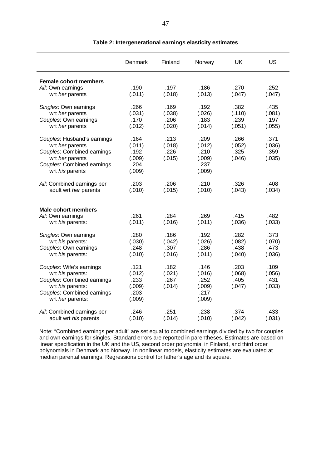|                                                                                                                                                  | Denmark                                            | Finland                          | Norway                                             | <b>UK</b>                        | US                               |
|--------------------------------------------------------------------------------------------------------------------------------------------------|----------------------------------------------------|----------------------------------|----------------------------------------------------|----------------------------------|----------------------------------|
| <b>Female cohort members</b><br>All: Own earnings<br>wrt her parents                                                                             | .190<br>(.011)                                     | .197<br>(.018)                   | .186<br>(.013)                                     | .270<br>(.047)                   | .252<br>(.047)                   |
| Singles: Own earnings<br>wrt her parents<br>Couples: Own earnings<br>wrt her parents                                                             | .266<br>(.031)<br>.170<br>(.012)                   | .169<br>(.038)<br>.206<br>(.020) | .192<br>(.026)<br>.183<br>(.014)                   | .382<br>(.110)<br>.239<br>(.051) | .435<br>(.081)<br>.197<br>(.055) |
| Couples: Husband's earnings<br>wrt her parents<br>Couples: Combined earnings<br>wrt her parents<br>Couples: Combined earnings<br>wrt his parents | .164<br>(.011)<br>.192<br>(.009)<br>.204<br>(.009) | .213<br>(.018)<br>.226<br>(.015) | .209<br>(.012)<br>.210<br>(.009)<br>.237<br>(.009) | .266<br>(.052)<br>.325<br>(.046) | .371<br>(.036)<br>.359<br>(.035) |
| All: Combined earnings per<br>adult wrt her parents                                                                                              | .203<br>(.010)                                     | .206<br>(.015)                   | .210<br>(.010)                                     | .326<br>(.043)                   | .408<br>(.034)                   |
| Male cohort members<br>All: Own earnings<br>wrt his parents:<br>Singles: Own earnings<br>wrt his parents:                                        | .261<br>(.011)<br>.280<br>(.030)                   | .284<br>(.016)<br>.186<br>(.042) | .269<br>(.011)<br>.192<br>(.026)                   | .415<br>(.036)<br>.282<br>(.082) | .482<br>(.033)<br>.373<br>(.070) |
| Couples: Own earnings<br>wrt his parents:                                                                                                        | .248<br>(.010)                                     | .307<br>(.016)                   | .286<br>(.011)                                     | .438<br>(.040)                   | .473<br>(.036)                   |
| Couples: Wife's earnings<br>wrt his parents:<br>Couples: Combined earnings<br>wrt his parents:<br>Couples: Combined earnings<br>wrt her parents: | .121<br>(.012)<br>.233<br>(.009)<br>.203<br>(.009) | .182<br>(.021)<br>.267<br>(.014) | .146<br>(.016)<br>.252<br>(.009)<br>.217<br>(.009) | .203<br>(.068)<br>.405<br>(.047) | .109<br>(.056)<br>.431<br>(.033) |
| All: Combined earnings per<br>adult wrt his parents                                                                                              | .246<br>(.010)                                     | .251<br>(.014)                   | .238<br>(.010)                                     | .374<br>(.042)                   | .433<br>(.031)                   |

#### **Table 2: Intergenerational earnings elasticity estimates**

Note: "Combined earnings per adult" are set equal to combined earnings divided by two for couples and own earnings for singles. Standard errors are reported in parentheses. Estimates are based on linear specification in the UK and the US, second order polynomial in Finland, and third order polynomials in Denmark and Norway. In nonlinear models, elasticity estimates are evaluated at median parental earnings. Regressions control for father's age and its square.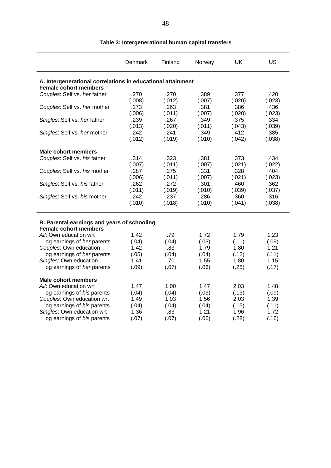|                                                             | <b>Denmark</b> | Finland | Norway | UK     | US     |
|-------------------------------------------------------------|----------------|---------|--------|--------|--------|
| A. Intergenerational correlations in educational attainment |                |         |        |        |        |
| <b>Female cohort members</b>                                |                |         |        |        |        |
| Couples: Self vs. her father                                | .270           | .270    | .389   | .377   | .420   |
|                                                             | (.008)         | (.012)  | (.007) | (.020) | (.023) |
| Couples: Self vs. her mother                                | .273           | .263    | .381   | .386   | .436   |
|                                                             | (.006)         | (.011)  | (.007) | (.020) | (.023) |
| Singles: Self vs. her father                                | .239           | .267    | .349   | .375   | .334   |
|                                                             | (.013)         | (.020)  | (.011) | (.043) | (.039) |
| Singles: Self vs. her mother                                | .242           | .241    | .349   | .412   | .385   |
|                                                             | (.012)         | (.019)  | (.010) | (.042) | (.038) |
| Male cohort members                                         |                |         |        |        |        |
| Couples: Self vs. his father                                | .314           | .323    | .381   | .373   | .434   |
|                                                             | (.007)         | (.011)  | (.007) | (.021) | (.022) |
| Couples: Self vs. his mother                                | .287           | .275    | .331   | .328   | .404   |
|                                                             | (.006)         | (.011)  | (.007) | (.021) | (.023) |
| Singles: Self vs. his father                                | .262           | .272    | .301   | .460   | .362   |
|                                                             | (.011)         | (.019)  | (.010) | (.039) | (.037) |
| Singles: Self vs. his mother                                | .242           | .237    | .286   | .360   | .316   |
|                                                             | (.010)         | (.018)  | (.010) | (.041) | (.038) |
| B. Parental earnings and years of schooling                 |                |         |        |        |        |
| <b>Female cohort members</b>                                |                |         |        |        |        |
| All: Own education wrt                                      | 1.42           | .79     | 1.72   | 1.79   | 1.23   |
| log earnings of her parents                                 | (.04)          | (.04)   | (.03)  | (.11)  | (.09)  |
| Couples: Own education                                      | 1.42           | .83     | 1.79   | 1.80   | 1.21   |
| log earnings of her parents                                 | (.05)          | (.04)   | (.04)  | (.12)  | (.11)  |
| Singles: Own education                                      | 1.41           | .70     | 1.55   | 1.80   | 1.15   |
| log earnings of her parents                                 | (.09)          | (.07)   | (.06)  | (.25)  | (.17)  |
|                                                             |                |         |        |        |        |
| Male cohort members                                         |                |         |        |        |        |
| All: Own education wrt                                      | 1.47           | 1.00    | 1.47   | 2.03   | 1.48   |
| log earnings of his parents                                 | (.04)          | (.04)   | (.03)  | (.13)  | (.09)  |
| Couples: Own education wrt                                  | 1.49           | 1.03    | 1.56   | 2.03   | 1.39   |
| log earnings of his parents                                 | (.04)          | (.04)   | (.04)  | (.15)  | (.11)  |
| Singles: Own education wrt                                  | 1.36           | .83     | 1.21   | 1.96   | 1.72   |
| log earnings of his parents                                 | (.07)          | (.07)   | (.06)  | (.28)  | (.16)  |
|                                                             |                |         |        |        |        |

### **Table 3: Intergenerational human capital transfers**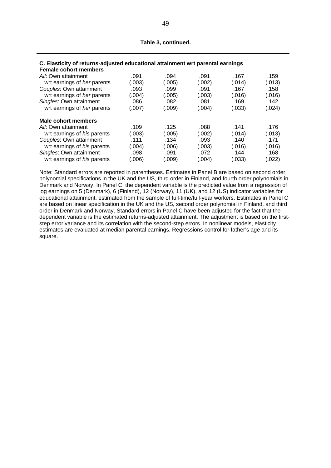| C. Elasticity of returns-adjusted educational attainment wrt parental earnings |        |         |        |        |        |  |  |  |
|--------------------------------------------------------------------------------|--------|---------|--------|--------|--------|--|--|--|
| <b>Female cohort members</b>                                                   |        |         |        |        |        |  |  |  |
| All: Own attainment                                                            | .091   | .094    | .091   | .167   | .159   |  |  |  |
| wrt earnings of her parents                                                    | (.003) | (.005)  | (.002) | (.014) | (.013) |  |  |  |
| Couples: Own attainment                                                        | .093   | .099    | .091   | .167   | .158   |  |  |  |
| wrt earnings of her parents                                                    | (.004) | (.005)  | (.003) | (.016) | (.016) |  |  |  |
| Singles: Own attainment                                                        | .086   | .082    | .081   | .169   | .142   |  |  |  |
| wrt earnings of her parents                                                    | (.007) | (.009)  | (.004) | (.033) | (.024) |  |  |  |
| Male cohort members                                                            |        |         |        |        |        |  |  |  |
| All: Own attainment                                                            | .109   | .125    | .088   | .141   | .176   |  |  |  |
| wrt earnings of his parents                                                    | (.003) | (.005)  | (.002) | (.014) | (.013) |  |  |  |
| Couples: Own attainment                                                        | .111   | .134    | .093   | .140   | .171   |  |  |  |
| wrt earnings of his parents                                                    | (.004) | (0.006) | (.003) | (.016) | (.016) |  |  |  |
| Singles: Own attainment                                                        | .098   | .091    | .072   | .144   | .168   |  |  |  |
| wrt earnings of his parents                                                    | (.006) | (.009)  | (.004) | (.033) | (.022) |  |  |  |

#### **Table 3, continued.**

Note: Standard errors are reported in parentheses. Estimates in Panel B are based on second order polynomial specifications in the UK and the US, third order in Finland, and fourth order polynomials in Denmark and Norway. In Panel C, the dependent variable is the predicted value from a regression of log earnings on 5 (Denmark), 6 (Finland), 12 (Norway), 11 (UK), and 12 (US) indicator variables for educational attainment, estimated from the sample of full-time/full-year workers. Estimates in Panel C are based on linear specification in the UK and the US, second order polynomial in Finland, and third order in Denmark and Norway. Standard errors in Panel C have been adjusted for the fact that the dependent variable is the estimated returns-adjusted attainment. The adjustment is based on the firststep error variance and its correlation with the second-step errors. In nonlinear models, elasticity estimates are evaluated at median parental earnings. Regressions control for father's age and its square.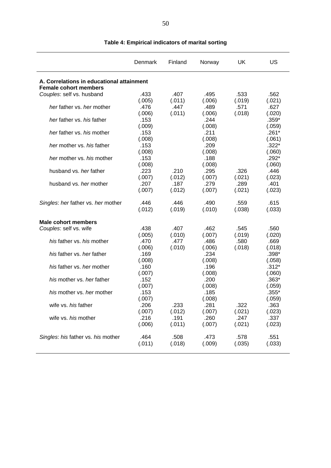|                                           | Denmark | Finland | Norway | UK     | US      |
|-------------------------------------------|---------|---------|--------|--------|---------|
| A. Correlations in educational attainment |         |         |        |        |         |
| <b>Female cohort members</b>              |         |         |        |        |         |
| Couples: self vs. husband                 | .433    | .407    | .495   | .533   | .562    |
|                                           | (.005)  | (.011)  | (.006) | (.019) | (.021)  |
| her father vs. her mother                 | .476    | .447    | .489   | .571   | .627    |
|                                           | (.006)  | (.011)  | (.006) | (.018) | (.020)  |
| her father vs. his father                 | .153    |         | .244   |        | $.359*$ |
|                                           | (.009)  |         | (.008) |        | (.059)  |
| her father vs. his mother                 | .153    |         | .211   |        | $.261*$ |
|                                           | (.008)  |         | (.008) |        | (.061)  |
| her mother vs. his father                 | .153    |         | .209   |        | $.322*$ |
|                                           |         |         |        |        |         |
|                                           | (.008)  |         | (.008) |        | (.060)  |
| her mother vs. his mother                 | .153    |         | .188   |        | .292*   |
|                                           | (.008)  |         | (.008) |        | (.060)  |
| husband vs. her father                    | .223    | .210    | .295   | .326   | .446    |
|                                           | (.007)  | (.012)  | (.007) | (.021) | (.023)  |
| husband vs. her mother                    | .207    | .187    | .279   | .289   | .401    |
|                                           | (.007)  | (.012)  | (.007) | (.021) | (.023)  |
| Singles: her father vs. her mother        | .446    | .446    | .490   | .559   | .615    |
|                                           | (.012)  | (.019)  | (.010) | (.038) | (.033)  |
| <b>Male cohort members</b>                |         |         |        |        |         |
| Couples: self vs. wife                    | .438    | .407    | .462   | .545   | .560    |
|                                           | (.005)  | (.010)  | (.007) | (.019) | (.020)  |
| his father vs. his mother                 | .470    | .477    | .486   | .580   | .669    |
|                                           | (.006)  | (.010)  | (.006) | (.018) | (.018)  |
| his father vs. her father                 | .169    |         | .234   |        | $.398*$ |
|                                           | (.008)  |         | (.008) |        | (.058)  |
| his father vs. her mother                 | .160    |         | .196   |        | $.312*$ |
|                                           |         |         |        |        |         |
|                                           | (.007)  |         | (.008) |        | (.060)  |
| his mother vs. her father                 | .152    |         | .200   |        | $.363*$ |
|                                           | (.007)  |         | (.008) |        | (.059)  |
| his mother vs. her mother                 | .153    |         | .185   |        | $.355*$ |
|                                           | (.007)  |         | (.008) |        | (.059)  |
| wife vs. his father                       | .206    | .233    | .281   | .322   | .363    |
|                                           | (.007)  | (.012)  | (.007) | (.021) | (.023)  |
| wife vs. his mother                       | .216    | .191    | .260   | .247   | .337    |
|                                           | (.006)  | (.011)  | (.007) | (.021) | (.023)  |
| Singles: his father vs. his mother        | .464    | .508    | .473   | .578   | .551    |
|                                           | (.011)  | (.018)  | (.009) | (.035) | (.033)  |
|                                           |         |         |        |        |         |

### **Table 4: Empirical indicators of marital sorting**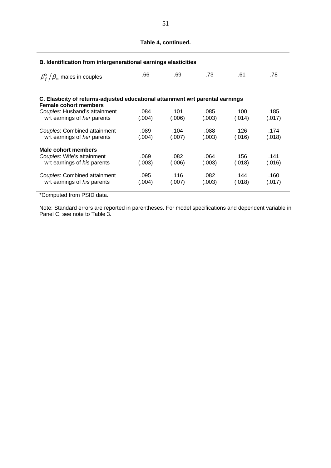#### **Table 4, continued.**

| B. Identification from intergenerational earnings elasticities                                                 |        |        |        |        |        |  |  |  |  |
|----------------------------------------------------------------------------------------------------------------|--------|--------|--------|--------|--------|--|--|--|--|
| $\beta_f^s/\beta_m^s$ males in couples                                                                         | .66    | .69    | .73    | .61    | .78    |  |  |  |  |
| C. Elasticity of returns-adjusted educational attainment wrt parental earnings<br><b>Female cohort members</b> |        |        |        |        |        |  |  |  |  |
| Couples: Husband's attainment                                                                                  | .084   | .101   | .085   | .100   | .185   |  |  |  |  |
| wrt earnings of her parents                                                                                    | (.004) | (.006) | (.003) | (.014) | (.017) |  |  |  |  |
| Couples: Combined attainment                                                                                   | .089   | .104   | .088   | .126   | .174   |  |  |  |  |
| wrt earnings of her parents                                                                                    | (.004) | (.007) | (.003) | (.016) | (.018) |  |  |  |  |
| Male cohort members                                                                                            |        |        |        |        |        |  |  |  |  |
| Couples: Wife's attainment                                                                                     | .069   | .082   | .064   | .156   | .141   |  |  |  |  |
| wrt earnings of his parents                                                                                    | (.003) | (.006) | (.003) | (.018) | (.016) |  |  |  |  |
| Couples: Combined attainment                                                                                   | .095   | .116   | .082   | .144   | .160   |  |  |  |  |
| wrt earnings of his parents                                                                                    | (.004) | (.007) | (.003) | (.018) | (.017) |  |  |  |  |

\*Computed from PSID data.

Note: Standard errors are reported in parentheses. For model specifications and dependent variable in Panel C, see note to Table 3.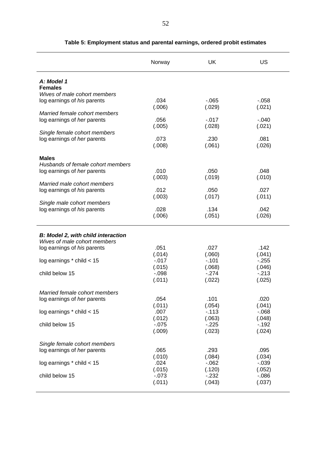|                                           | Norway         | UK                | US                |
|-------------------------------------------|----------------|-------------------|-------------------|
| A: Model 1                                |                |                   |                   |
| <b>Females</b>                            |                |                   |                   |
| Wives of male cohort members              | .034           | $-065$            | $-0.058$          |
| log earnings of his parents               | (.006)         | (.029)            | (.021)            |
| Married female cohort members             |                |                   |                   |
| log earnings of her parents               | .056           | $-0.017$          | $-.040$           |
|                                           | (.005)         | (.028)            | (.021)            |
| Single female cohort members              |                |                   |                   |
| log earnings of her parents               | .073           | .230              | .081              |
|                                           | (.008)         | (.061)            | (.026)            |
| Males                                     |                |                   |                   |
| Husbands of female cohort members         |                |                   |                   |
| log earnings of her parents               | .010           | .050              | .048              |
|                                           | (.003)         | (.019)            | (.010)            |
| Married male cohort members               |                |                   |                   |
| log earnings of his parents               | .012           | .050              | .027              |
|                                           | (.003)         | (.017)            | (.011)            |
| Single male cohort members                |                |                   |                   |
| log earnings of his parents               | .028           | .134              | .042              |
|                                           | (.006)         | (.051)            | (.026)            |
|                                           |                |                   |                   |
| <b>B: Model 2, with child interaction</b> |                |                   |                   |
| Wives of male cohort members              |                |                   |                   |
| log earnings of his parents               | .051<br>(.014) | .027<br>(.060)    | .142<br>(.041)    |
| $log$ earnings $*$ child < 15             | $-0.017$       | $-.101$           | $-255$            |
|                                           | (.015)         | (.068)            | (.046)            |
| child below 15                            | $-0.098$       | $-274$            | $-213$            |
|                                           | (.011)         | (.022)            | (.025)            |
|                                           |                |                   |                   |
| Married female cohort members             |                |                   |                   |
| log earnings of her parents               | .054           | .101              | .020<br>(.041)    |
| $log$ earnings $*$ child < 15             | (.011)<br>.007 | (.054)<br>$-.113$ | $-068$            |
|                                           | (.012)         | (.063)            | (.048)            |
| child below 15                            | $-0.075$       | $-225$            | $-192$            |
|                                           | (.009)         | (.023)            | (.024)            |
|                                           |                |                   |                   |
| Single female cohort members              |                |                   |                   |
| log earnings of her parents               | .065           | .293              | .095              |
| $log$ earnings $*$ child < 15             | (.010)<br>.024 | (.084)<br>$-062$  | (.034)<br>$-.039$ |
|                                           | (.015)         | (.120)            | (.052)            |
| child below 15                            | $-073$         | $-232$            | $-0.086$          |
|                                           | (.011)         | (.043)            | (.037)            |
|                                           |                |                   |                   |

### **Table 5: Employment status and parental earnings, ordered probit estimates**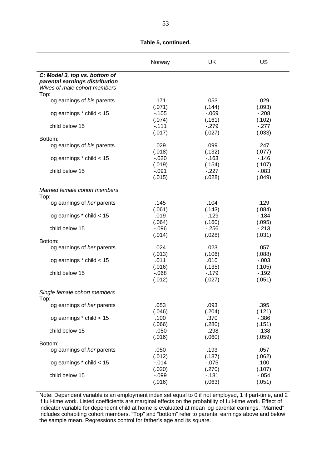|                                                                                                 | Norway   | UK       | US       |
|-------------------------------------------------------------------------------------------------|----------|----------|----------|
| C: Model 3, top vs. bottom of<br>parental earnings distribution<br>Wives of male cohort members |          |          |          |
| Top:<br>log earnings of his parents                                                             | .171     | .053     | .029     |
| $log$ earnings $*$ child < 15                                                                   | (.071)   | (.144)   | (.093)   |
|                                                                                                 | $-.105$  | $-069$   | $-208$   |
|                                                                                                 | (.074)   | (.161)   | (.102)   |
| child below 15                                                                                  | $-.111$  | $-279$   | $-277$   |
|                                                                                                 | (.017)   | (.027)   | (.033)   |
| Bottom:                                                                                         |          |          |          |
| log earnings of his parents                                                                     | .029     | .099     | .247     |
|                                                                                                 | (.018)   | (.132)   | (.077)   |
| $log$ earnings $*$ child < 15                                                                   | $-0.020$ | $-163$   | $-146$   |
|                                                                                                 | (.019)   | (.154)   | (.107)   |
| child below 15                                                                                  | $-.091$  | $-227$   | $-0.083$ |
|                                                                                                 | (.015)   | (.028)   | (.049)   |
| Married female cohort members<br>Top:                                                           |          |          |          |
| log earnings of her parents                                                                     | .145     | .104     | .129     |
|                                                                                                 | (.061)   | (.143)   | (.084)   |
| $log$ earnings $*$ child < 15                                                                   | .019     | $-129$   | $-184$   |
|                                                                                                 | (.064)   | (.160)   | (.095)   |
| child below 15                                                                                  | $-0.096$ | $-256$   | $-213$   |
|                                                                                                 | (.014)   | (.028)   | (.031)   |
| Bottom:                                                                                         |          |          |          |
| log earnings of her parents                                                                     | .024     | .023     | .057     |
|                                                                                                 | (.013)   | (.106)   | (.088)   |
| $log$ earnings $*$ child < 15                                                                   | .011     | .010     | $-.003$  |
|                                                                                                 | (.016)   | (.135)   | (.105)   |
| child below 15                                                                                  | $-068$   | $-179$   | $-192$   |
|                                                                                                 | (.012)   | (.027)   | (.051)   |
| Single female cohort members<br>Top:                                                            |          |          |          |
| log earnings of her parents                                                                     | .053     | .093     | .395     |
|                                                                                                 | (.046)   | (.204)   | (.121)   |
| log earnings $*$ child $<$ 15                                                                   | .100     | .370     | $-386$   |
|                                                                                                 | (.066)   | (.280)   | (.151)   |
| child below 15                                                                                  | $-0.050$ | $-298$   | $-138$   |
|                                                                                                 | (.016)   | (.060)   | (.059)   |
| Bottom:                                                                                         |          |          |          |
| log earnings of her parents                                                                     | .050     | .193     | .057     |
|                                                                                                 | (.012)   | (.187)   | (.062)   |
| $log$ earnings $*$ child < 15                                                                   | $-0.014$ | $-0.075$ | .100     |
|                                                                                                 | (.020)   | (.270)   | (.107)   |
| child below 15                                                                                  | $-0.99$  | $-181$   | $-0.054$ |
|                                                                                                 | (.016)   | (.063)   | (.051)   |

**Table 5, continued.** 

j.

Note: Dependent variable is an employment index set equal to 0 if not employed, 1 if part-time, and 2 if full-time work. Listed coefficients are marginal effects on the probability of full-time work. Effect of indicator variable for dependent child at home is evaluated at mean log parental earnings. "Married" includes cohabiting cohort members. "Top" and "bottom" refer to parental earnings above and below the sample mean. Regressions control for father's age and its square.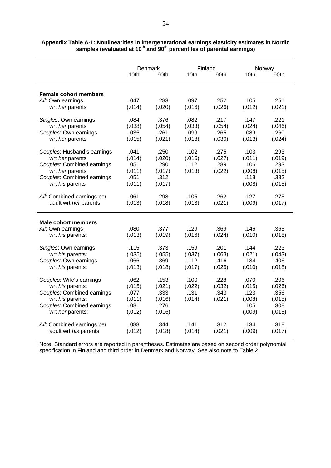|                                                                                                                                                               | 10 <sub>th</sub>                                   | Denmark<br>90th                                    | 10 <sub>th</sub>                                   | Finland<br>90th                                    | 10th                                               | Norway<br>90th                                     |
|---------------------------------------------------------------------------------------------------------------------------------------------------------------|----------------------------------------------------|----------------------------------------------------|----------------------------------------------------|----------------------------------------------------|----------------------------------------------------|----------------------------------------------------|
| <b>Female cohort members</b><br>All: Own earnings<br>wrt her parents                                                                                          | .047<br>(.014)                                     | .283<br>(.020)                                     | .097<br>(.016)                                     | .252<br>(.026)                                     | .105<br>(.012)                                     | .251<br>(.021)                                     |
| Singles: Own earnings<br>wrt her parents<br>Couples: Own earnings<br>wrt her parents                                                                          | .084<br>(.038)<br>.035<br>(.015)                   | .376<br>(.054)<br>.261<br>(.021)                   | .082<br>(.033)<br>.099<br>(.018)                   | .217<br>(.054)<br>.265<br>(.030)                   | .147<br>(.024)<br>.089<br>(.013)                   | .221<br>(.046)<br>.260<br>(.024)                   |
| Couples: Husband's earnings<br>wrt her parents<br>Couples: Combined earnings<br>wrt her parents<br>Couples: Combined earnings<br>wrt his parents              | .041<br>(.014)<br>.051<br>(.011)<br>.051<br>(.011) | .250<br>(.020)<br>.290<br>(.017)<br>.312<br>(.017) | .102<br>(.016)<br>.112<br>(.013)                   | .275<br>(.027)<br>.289<br>(.022)                   | .103<br>(.011)<br>.106<br>(.008)<br>.118<br>(.008) | .293<br>(.019)<br>.293<br>(.015)<br>.332<br>(.015) |
| All: Combined earnings per<br>adult wrt her parents                                                                                                           | .061<br>(.013)                                     | .298<br>(.018)                                     | .105<br>(.013)                                     | .262<br>(.021)                                     | .127<br>(.009)                                     | .275<br>(.017)                                     |
| <b>Male cohort members</b><br>All: Own earnings<br>wrt his parents:<br>Singles: Own earnings<br>wrt his parents:<br>Couples: Own earnings<br>wrt his parents: | .080<br>(.013)<br>.115<br>(.035)<br>.066<br>(.013) | .377<br>(.019)<br>.373<br>(.055)<br>.369<br>(.018) | .129<br>(.016)<br>.159<br>(.037)<br>.112<br>(.017) | .369<br>(.024)<br>.201<br>(.063)<br>.416<br>(.025) | .146<br>(.010)<br>.144<br>(.021)<br>.134<br>(.010) | .365<br>(.018)<br>.223<br>(.043)<br>.406<br>(.018) |
| Couples: Wife's earnings<br>wrt his parents:<br>Couples: Combined earnings<br>wrt his parents:<br>Couples: Combined earnings<br>wrt her parents:              | .062<br>(.015)<br>.077<br>(.011)<br>.081<br>(.012) | .153<br>(.021)<br>.333<br>(.016)<br>.276<br>(.016) | .100<br>(.022)<br>.131<br>(.014)                   | .228<br>(.032)<br>.343<br>(.021)                   | .070<br>(.015)<br>.123<br>(.008)<br>.105<br>(.009) | .206<br>(.026)<br>.356<br>(.015)<br>.308<br>(.015) |
| All: Combined earnings per<br>adult wrt his parents                                                                                                           | .088<br>(.012)                                     | .344<br>(.018)                                     | .141<br>(.014)                                     | .312<br>(.021)                                     | .134<br>(.009)                                     | .318<br>(.017)                                     |

**Appendix Table A-1: Nonlinearities in intergenerational earnings elasticity estimates in Nordic**  samples (evaluated at 10<sup>th</sup> and 90<sup>th</sup> percentiles of parental earnings)

Note: Standard errors are reported in parentheses. Estimates are based on second order polynomial specification in Finland and third order in Denmark and Norway. See also note to Table 2.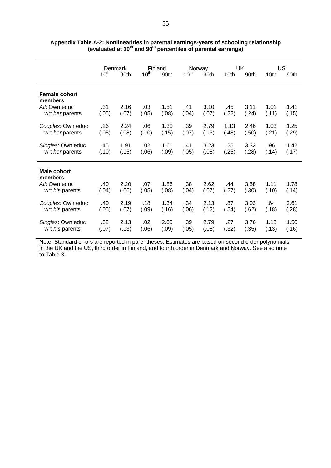|                                                  | 10 <sup>th</sup> | Denmark<br>90th | $10^{th}$ | Finland<br>90th | $10^{th}$ | Norway<br>90th | 10th  | UK<br>90th | 10th  | <b>US</b><br>90th |
|--------------------------------------------------|------------------|-----------------|-----------|-----------------|-----------|----------------|-------|------------|-------|-------------------|
| <b>Female cohort</b><br>members<br>All: Own educ | .31              | 2.16            | .03       | 1.51            | .41       | 3.10           | .45   | 3.11       | 1.01  | 1.41              |
| wrt her parents                                  | (.05)            | (.07)           | (.05)     | (.08)           | (.04)     | (.07)          | (.22) | (.24)      | (.11) | (.15)             |
| Couples: Own educ                                | .26              | 2.24            | .06       | 1.30            | .39       | 2.79           | 1.13  | 2.46       | 1.03  | 1.25              |
| wrt her parents                                  | (.05)            | (.08)           | (.10)     | (.15)           | (.07)     | (.13)          | (.48) | (.50)      | (.21) | (.29)             |
| Singles: Own educ                                | .45              | 1.91            | .02       | 1.61            | .41       | 3.23           | .25   | 3.32       | .96   | 1.42              |
| wrt her parents                                  | (.10)            | (.15)           | (.06)     | (.09)           | (.05)     | (.08)          | (.25) | (.28)      | (.14) | (.17)             |
| <b>Male cohort</b><br>members                    |                  |                 |           |                 |           |                |       |            |       |                   |
| All: Own educ                                    | .40              | 2.20            | .07       | 1.86            | .38       | 2.62           | .44   | 3.58       | 1.11  | 1.78              |
| wrt his parents                                  | (.04)            | (.06)           | (.05)     | (.08)           | (.04)     | (.07)          | (.27) | (.30)      | (.10) | (.14)             |
| Couples: Own educ                                | .40              | 2.19            | .18       | 1.34            | .34       | 2.13           | .87   | 3.03       | .64   | 2.61              |
| wrt his parents                                  | (.05)            | (.07)           | (.09)     | (.16)           | (.06)     | (.12)          | (.54) | (.62)      | (.18) | (.28)             |
| Singles: Own educ                                | .32              | 2.13            | .02       | 2.00            | .39       | 2.79           | .27   | 3.76       | 1.18  | 1.56              |
| wrt his parents                                  | (.07)            | (.13)           | (.06)     | (.09)           | (.05)     | (.08)          | (.32) | (.35)      | (.13) | (.16)             |

l,

**Appendix Table A-2: Nonlinearities in parental earnings-years of schooling relationship (evaluated at 10th and 90th percentiles of parental earnings)** 

Note: Standard errors are reported in parentheses. Estimates are based on second order polynomials in the UK and the US, third order in Finland, and fourth order in Denmark and Norway. See also note to Table 3.